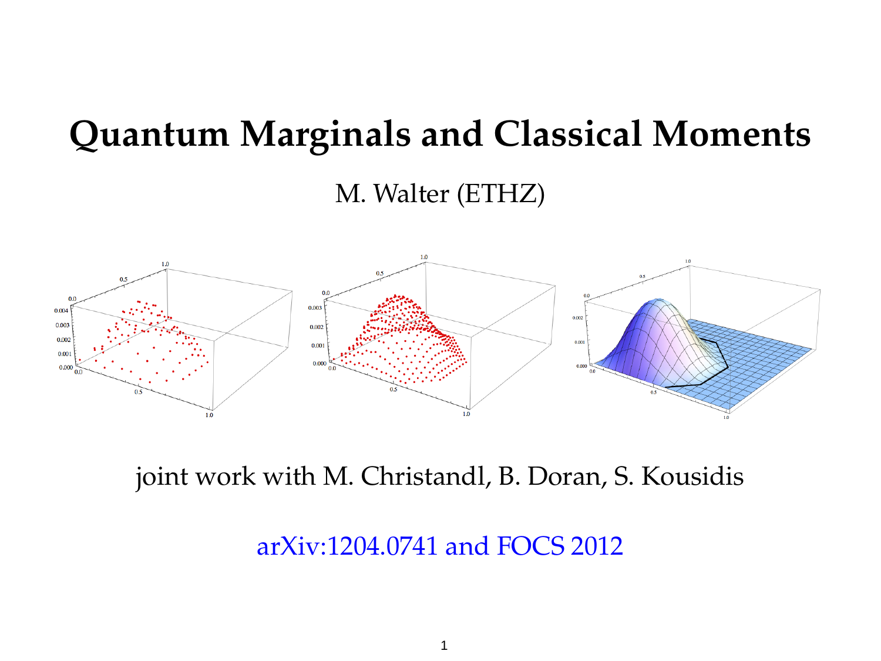## **Quantum Marginals and Classical Moments**

M. Walter (ETHZ)



joint work with M. Christandl, B. Doran, S. Kousidis

arXiv:1204.0741 and FOCS 2012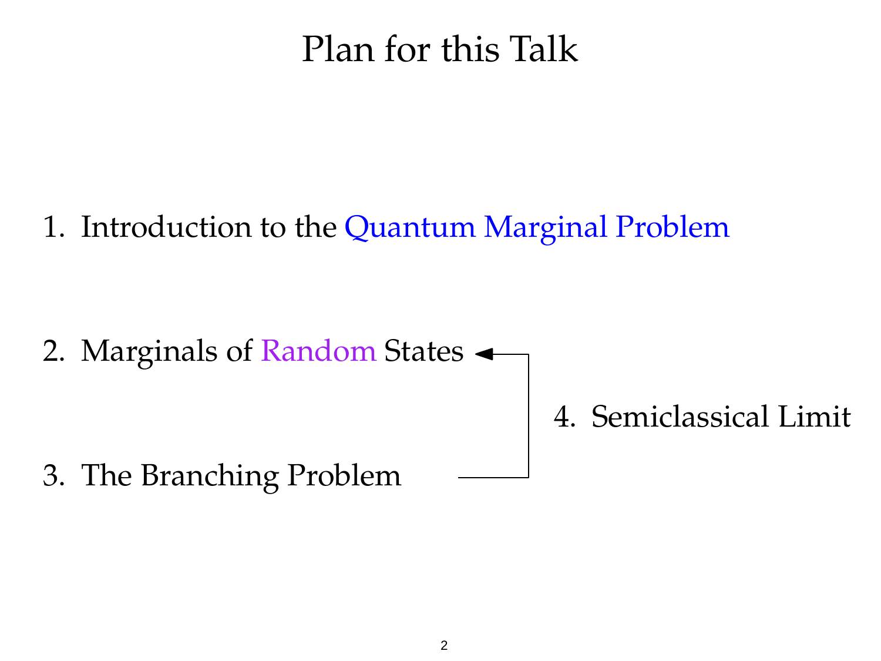#### Plan for this Talk

1. Introduction to the Quantum Marginal Problem

- 2. Marginals of Random States  $\triangleleft$ 4. Semiclassical Limit
- 3. The Branching Problem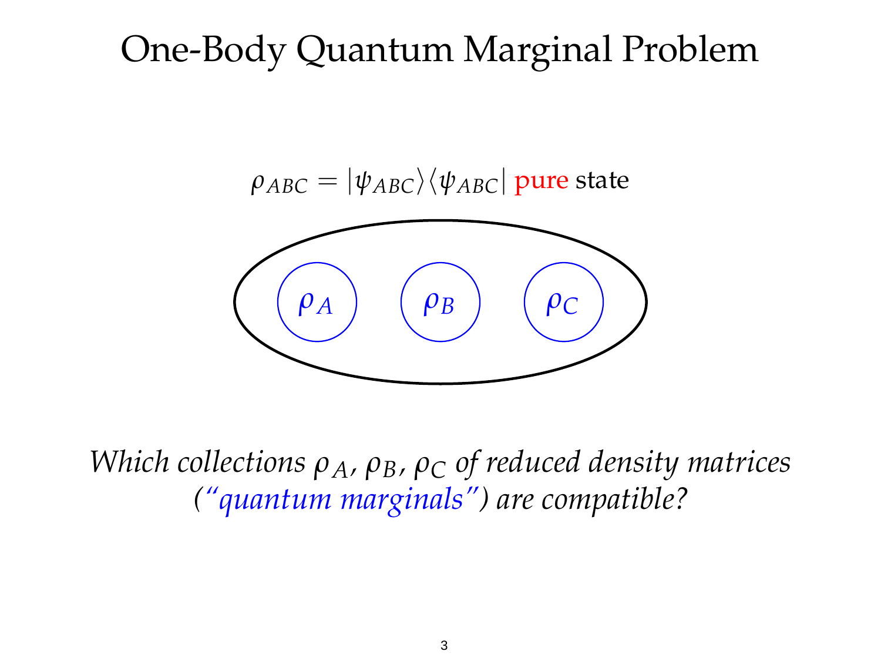#### One-Body Quantum Marginal Problem



*Which collections*  $\rho_A$ *,*  $\rho_B$ *,*  $\rho_C$  *of reduced density matrices ("quantum marginals") are compatible?*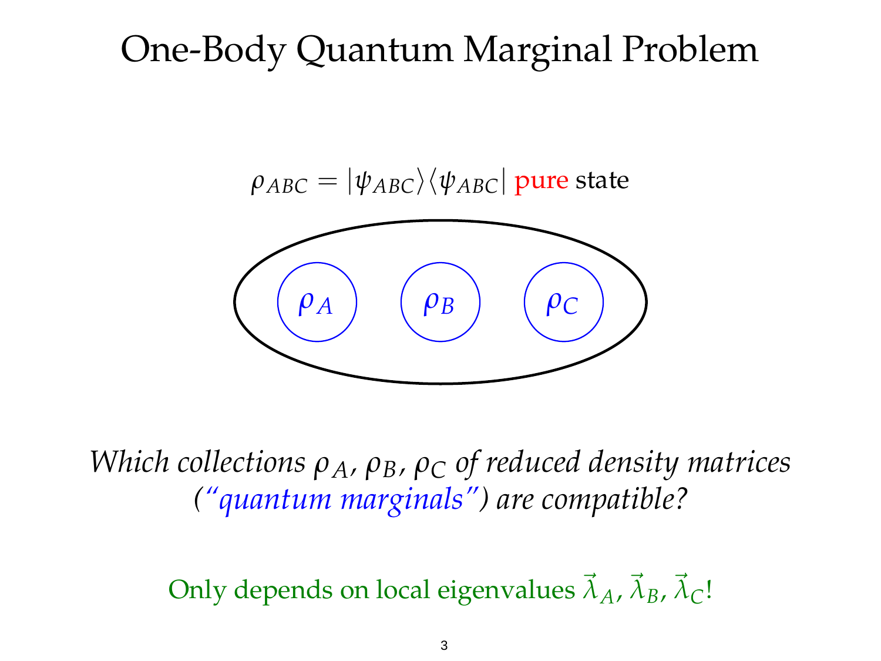#### One-Body Quantum Marginal Problem



*Which collections*  $\rho_A$ *,*  $\rho_B$ *,*  $\rho_C$  *of reduced density matrices ("quantum marginals") are compatible?*

Only depends on local eigenvalues  $\vec{\lambda}_A$ ,  $\vec{\lambda}_B$ ,  $\vec{\lambda}_C$ !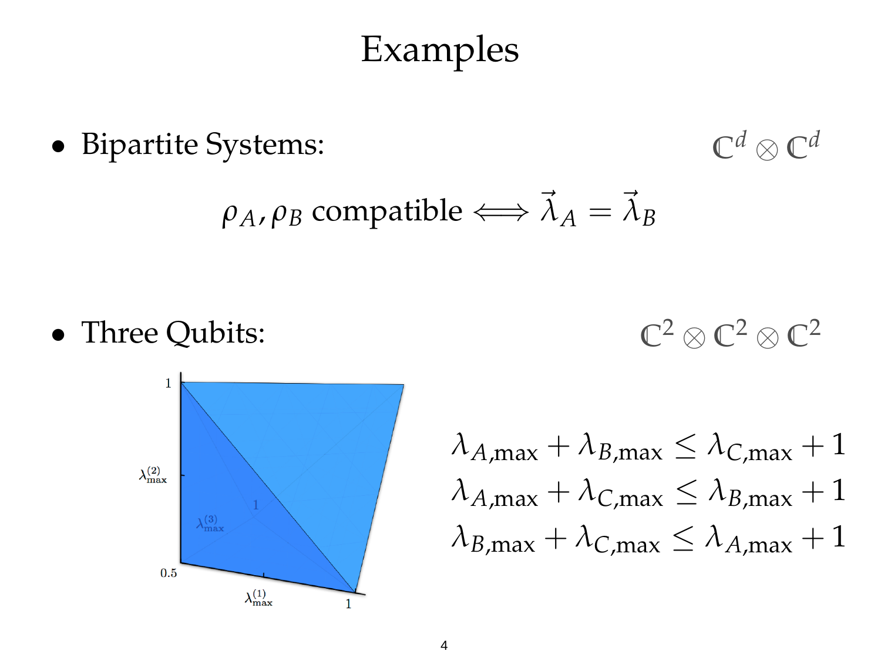#### Examples

• Bipartite Systems:

$$
\mathbb{C}^d \otimes \mathbb{C}^d
$$

$$
\rho_A, \rho_B \text{ compatible} \Longleftrightarrow \vec{\lambda}_A = \vec{\lambda}_B
$$

• Three Qubits:





 $\lambda_{A,\text{max}} + \lambda_{B,\text{max}} \leq \lambda_{C,\text{max}} + 1$  $\lambda_{A,\text{max}} + \lambda_{C,\text{max}} \leq \lambda_{B,\text{max}} + 1$  $\lambda_{B,\text{max}} + \lambda_{C,\text{max}} \leq \lambda_{A,\text{max}} + 1$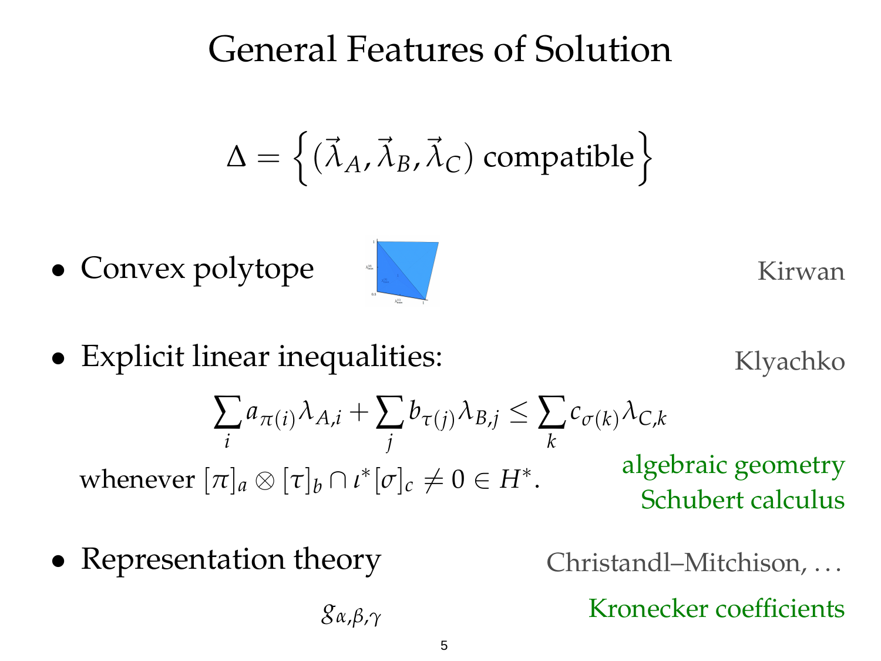#### General Features of Solution

$$
\Delta = \left\{ (\vec{\lambda}_A, \vec{\lambda}_B, \vec{\lambda}_C) \text{ compatible} \right\}
$$

• Convex polytope



Kirwan

• Explicit linear inequalities:

Klyachko

$$
\sum_{i} a_{\pi(i)} \lambda_{A,i} + \sum_{j} b_{\tau(j)} \lambda_{B,j} \le \sum_{k} c_{\sigma(k)} \lambda_{C,k}
$$

whenever  $[\pi]_a \otimes [\tau]_b \cap \iota^*[\sigma]_c \neq 0 \in H^*$ .

algebraic geometry Schubert calculus

• Representation theory Christandl–Mitchison, . . .

*gα*,*β*,*<sup>γ</sup>*

Kronecker coefficients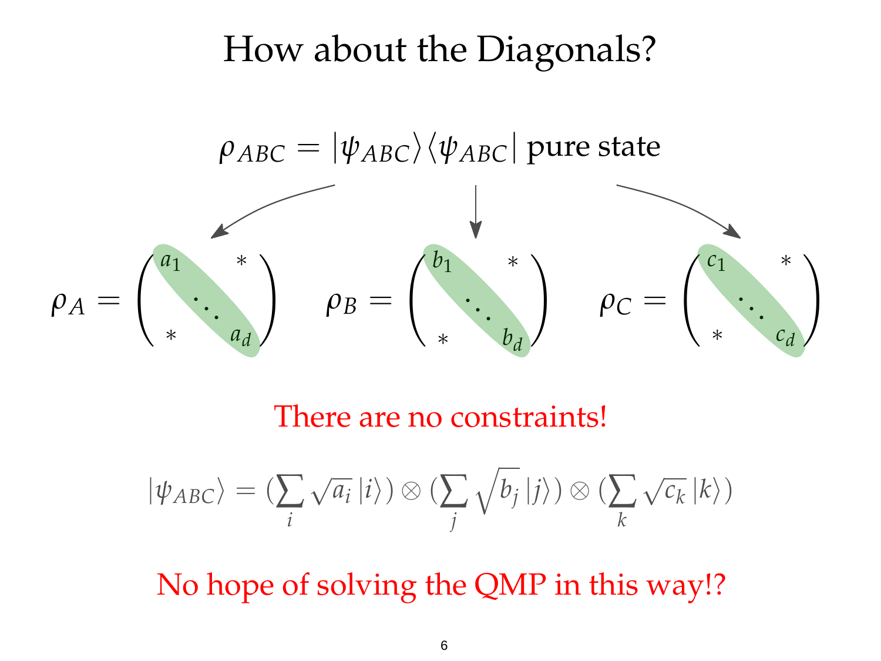#### How about the Diagonals?



There are no constraints!

$$
|\psi_{ABC}\rangle = (\sum_i \sqrt{a_i} |i\rangle) \otimes (\sum_j \sqrt{b_j} |j\rangle) \otimes (\sum_k \sqrt{c_k} |k\rangle)
$$

No hope of solving the QMP in this way!?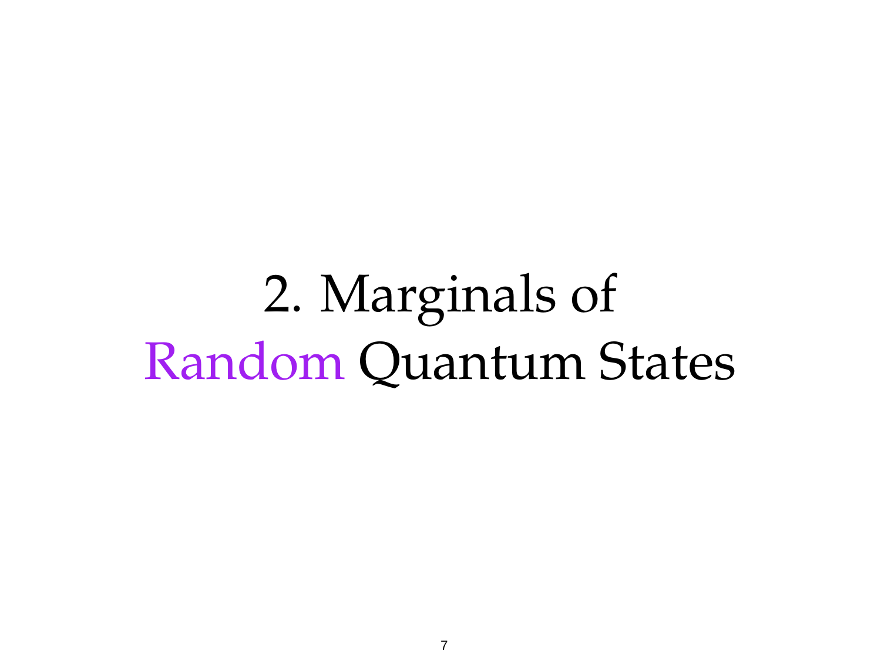2. Marginals of Random Quantum States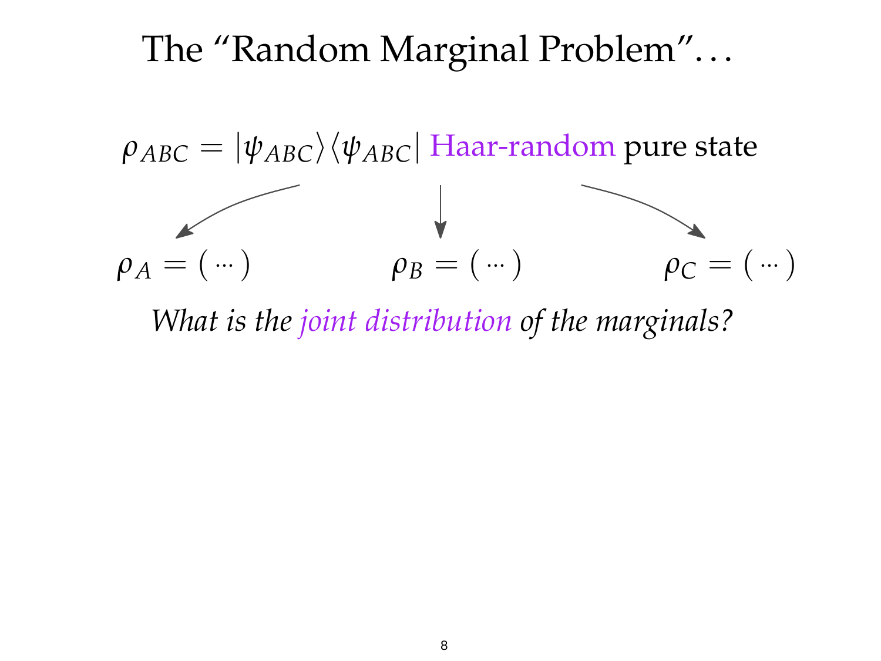#### The "Random Marginal Problem"...

 $\rho_{ABC} = |\psi_{ABC}\rangle\langle\psi_{ABC}|$  Haar-random pure state



*What is the joint distribution of the marginals?*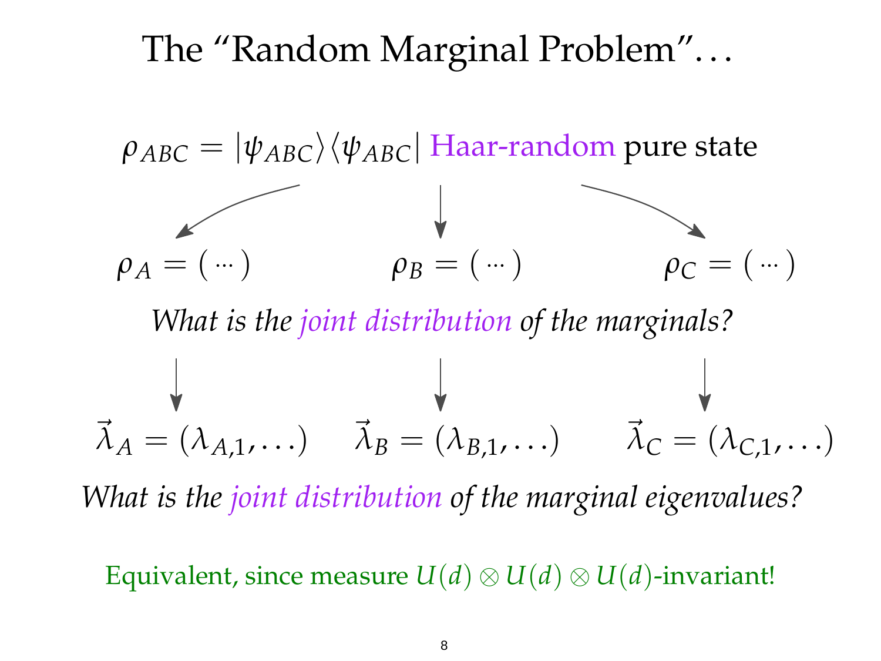#### The "Random Marginal Problem". . .

 $\rho_{ABC} = |\psi_{ABC}\rangle\langle\psi_{ABC}|$  Haar-random pure state  $\rho_A = ($ ...) *ρ<sup>B</sup>* = ( ...) *ρ*  $C = ($   $\cdots)$ *What is the joint distribution of the marginals?*  $\overline{\lambda}$  $\vec{\lambda}_A = (\lambda_{A,1}, \ldots)$  *,*  $\vec{\lambda}_B = (\lambda_{B,1}, \ldots)$   $\vec{\lambda}$  $\lambda_C = (\lambda_{C,1}, \ldots)$ 

*What is the joint distribution of the marginal eigenvalues?*

Equivalent, since measure  $U(d) \otimes U(d) \otimes U(d)$ -invariant!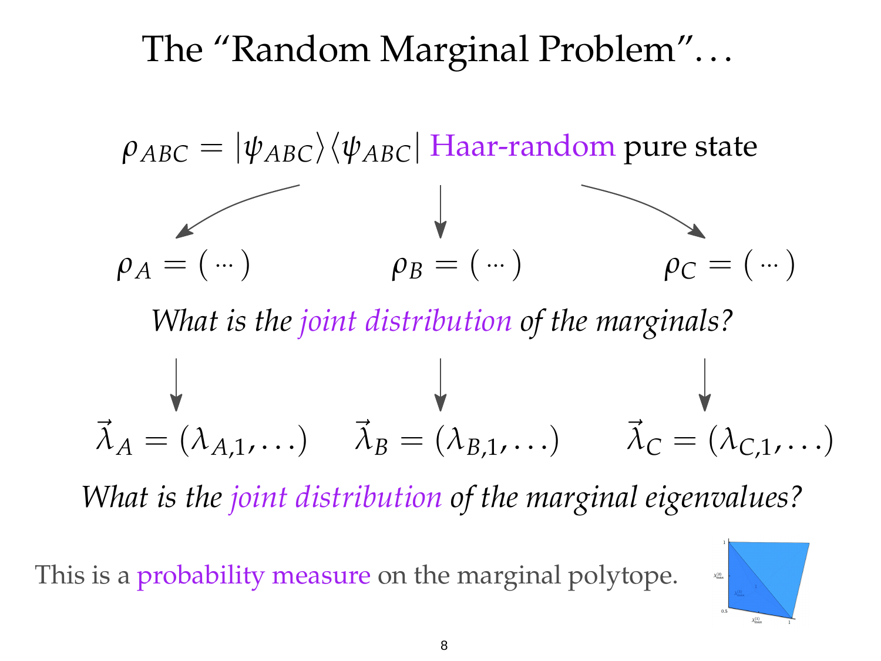#### The "Random Marginal Problem". . .



*What is the joint distribution of the marginal eigenvalues?*

This is a probability measure on the marginal polytope.

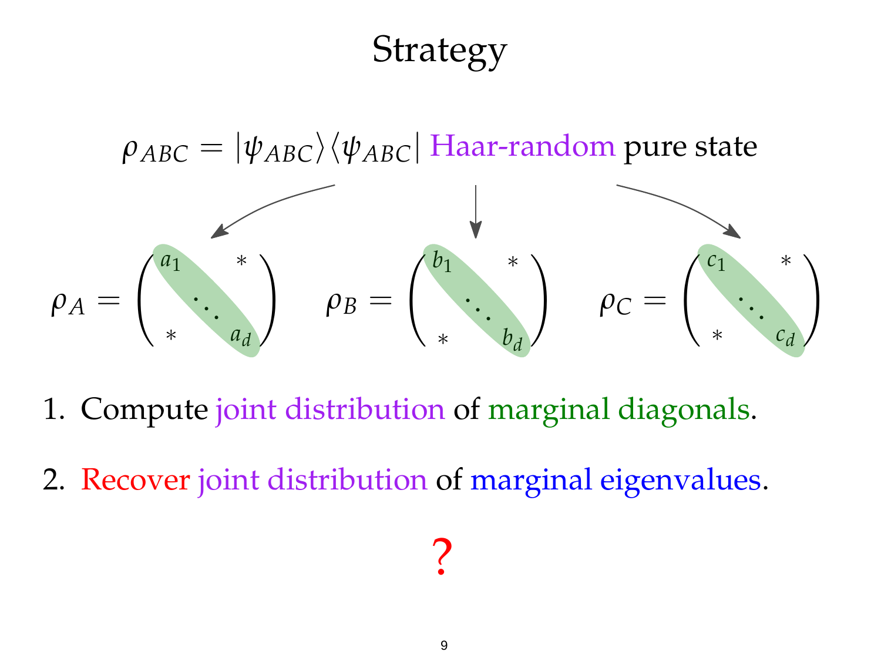

- 1. Compute joint distribution of marginal diagonals.
- 2. Recover joint distribution of marginal eigenvalues.

# ?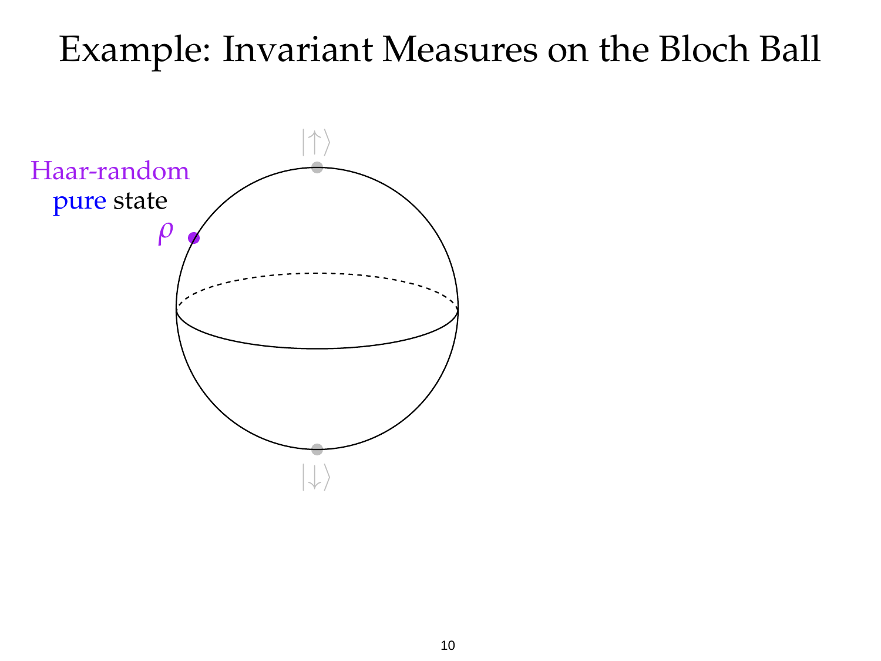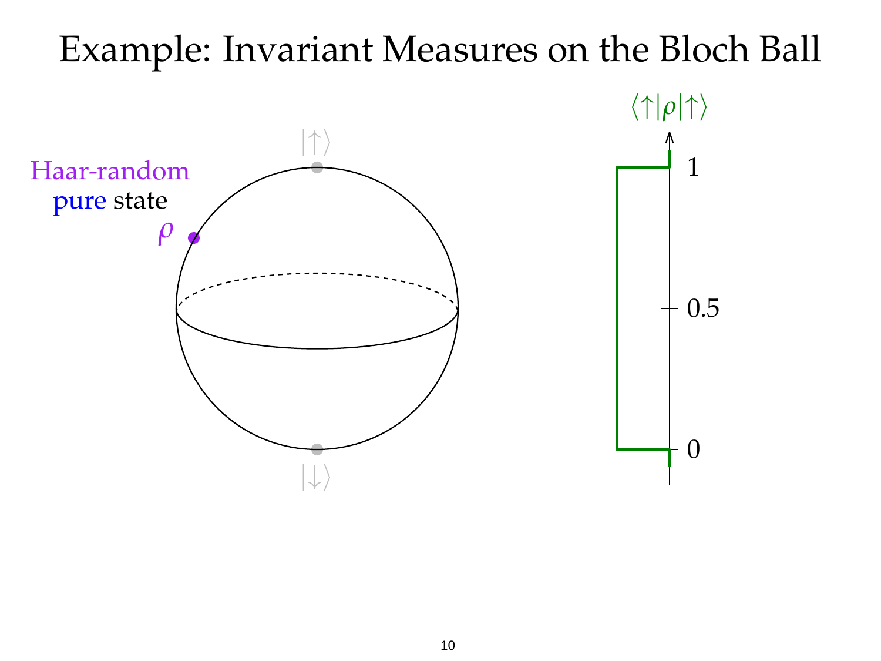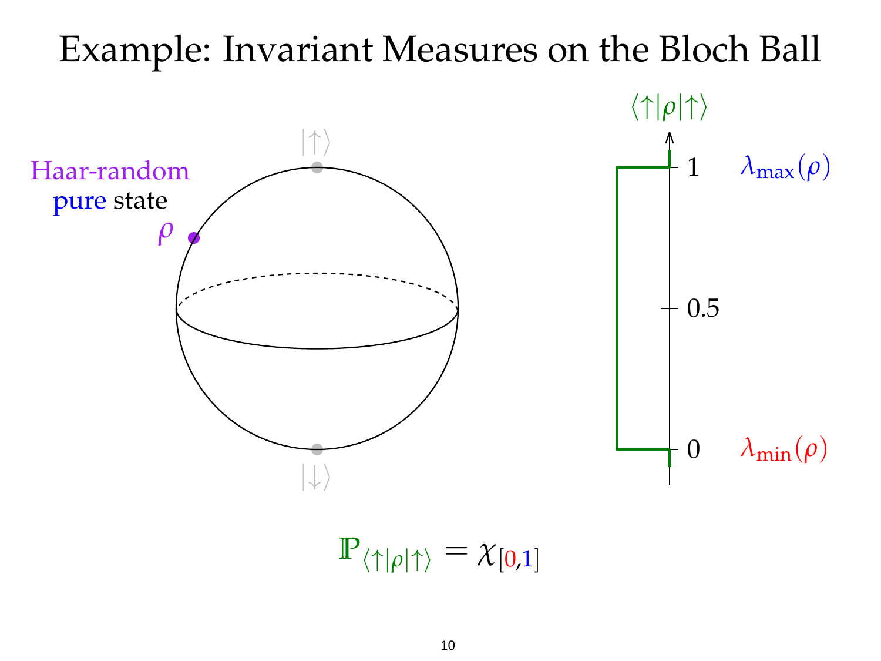

 $\mathbb{P}_{\langle \uparrow | \rho | \uparrow \rangle} = \chi_{[0,1]}$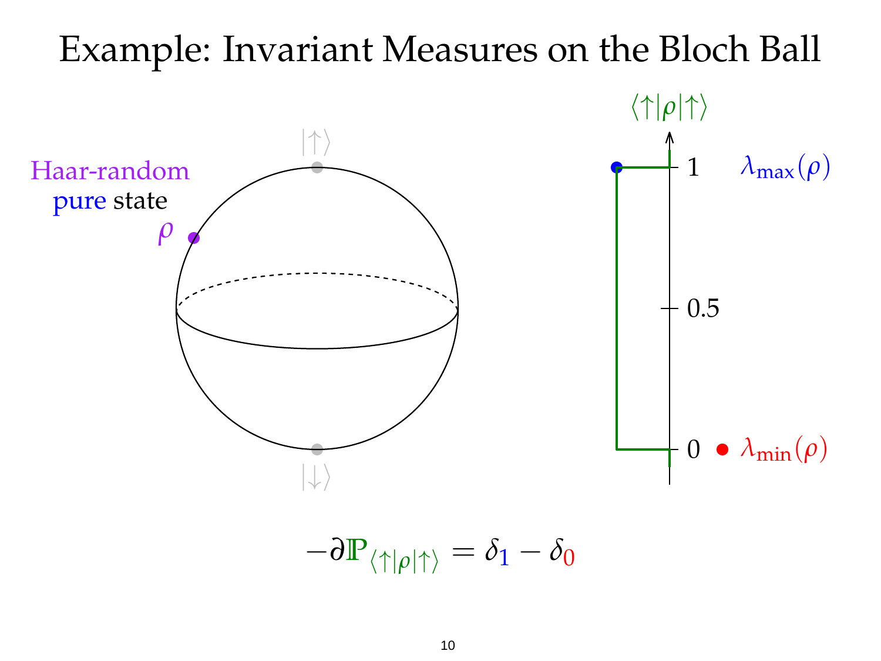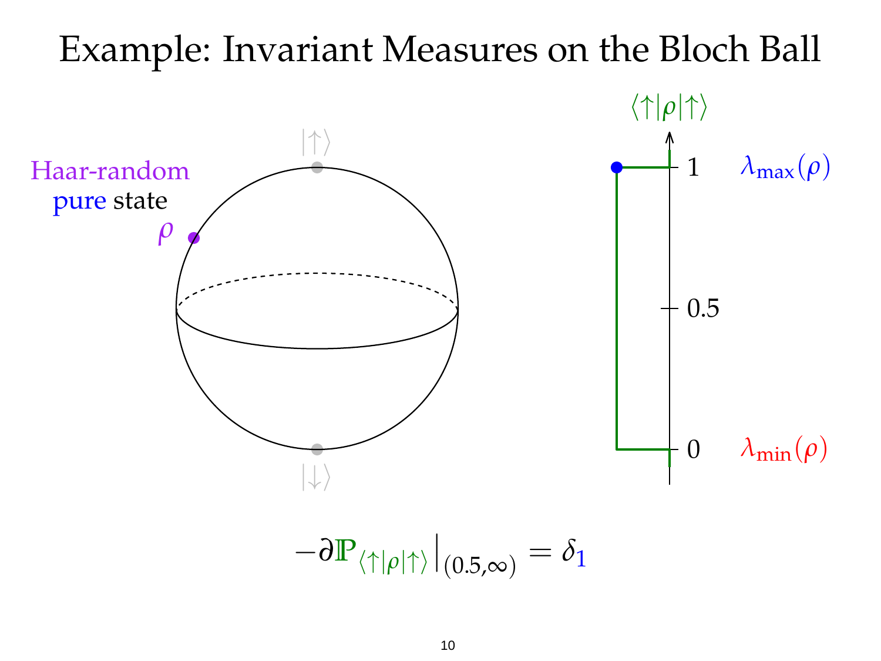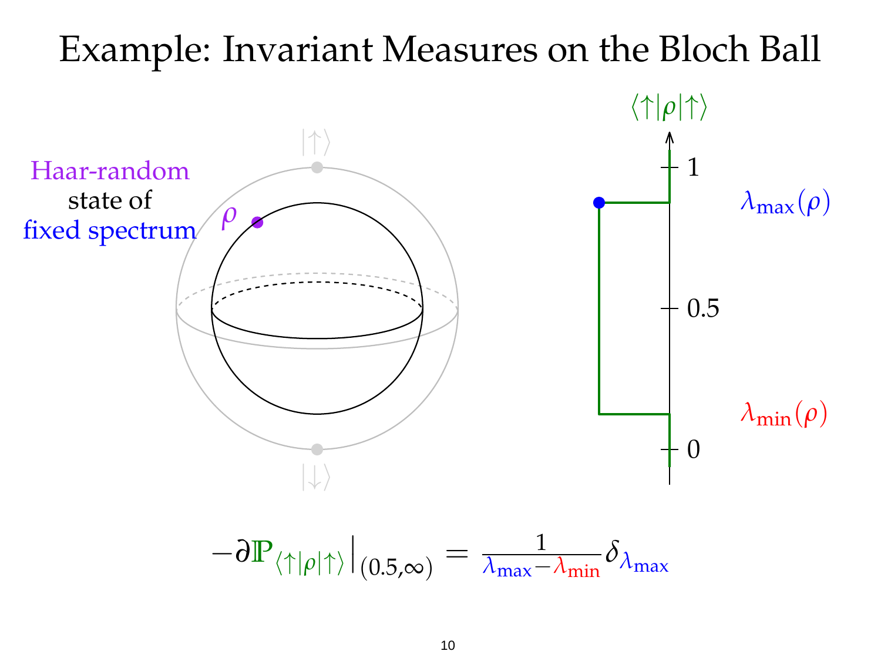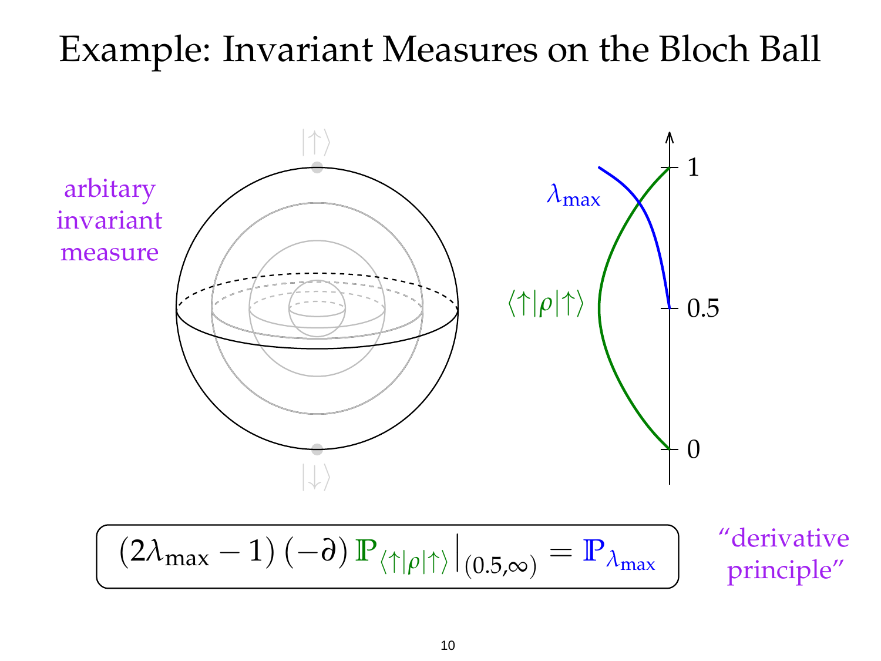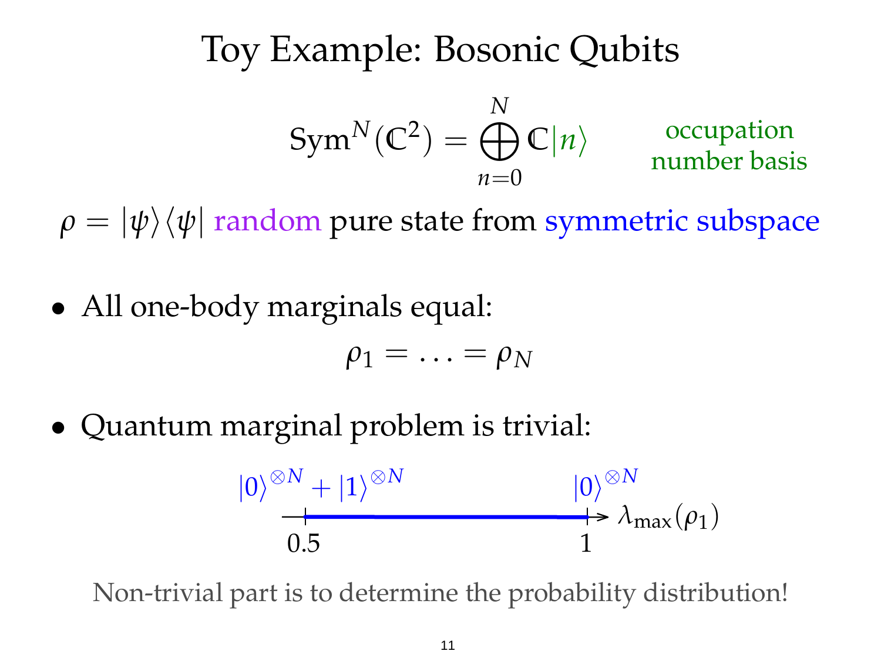#### Toy Example: Bosonic Qubits  $Sym^N(\mathbb{C}^2) = \bigoplus$ *N n*=0  $\mathbb{C}|n\rangle$ occupation number basis

 $\rho = |\psi\rangle\langle\psi|$  random pure state from symmetric subspace

• All one-body marginals equal:

$$
\rho_1=\ldots=\rho_N
$$

• Quantum marginal problem is trivial:

$$
|0\rangle^{\otimes N} + |1\rangle^{\otimes N} \longrightarrow |0\rangle^{\otimes N} \n0.5 \qquad |0\rangle^{\otimes N} \n1 \longrightarrow \lambda_{\max}(\rho_1)
$$

Non-trivial part is to determine the probability distribution!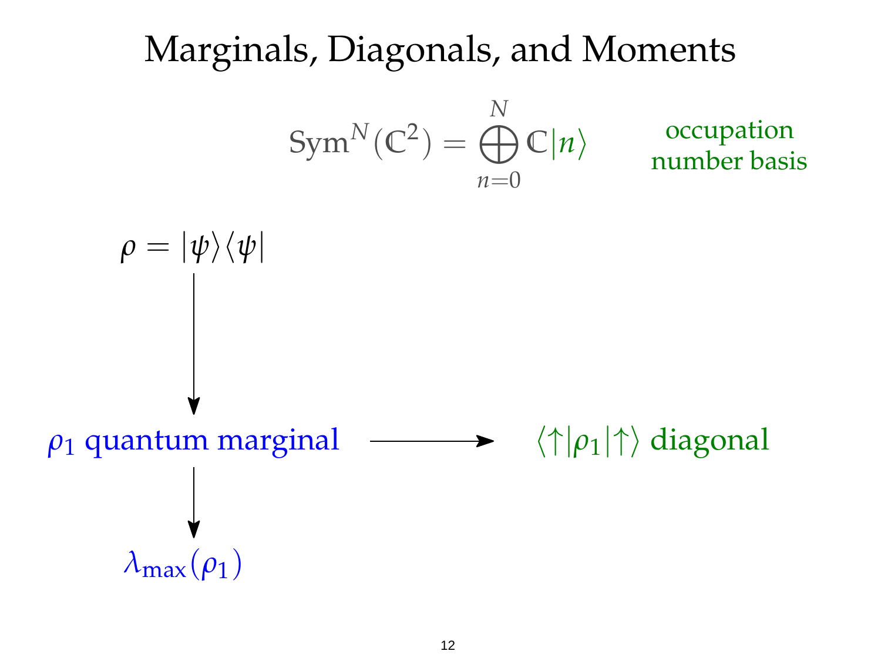$$
\operatorname{Sym}^N(\mathbb{C}^2) = \bigoplus_{n=0}^N \mathbb{C}|n\rangle
$$

occupation number basis

$$
\rho = |\psi\rangle\langle\psi|
$$
\n
$$
\rho_1
$$
 quantum marginal\n
$$
\downarrow
$$
\n
$$
\lambda_{\max}(\rho_1)
$$
\n
$$
\langle\uparrow|\rho_1|\uparrow\rangle
$$
 diagonal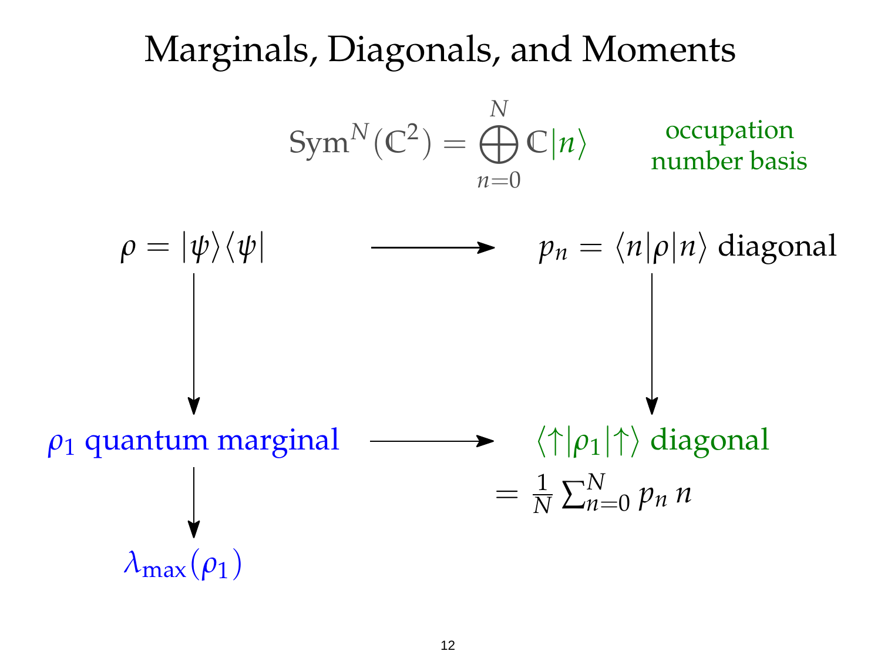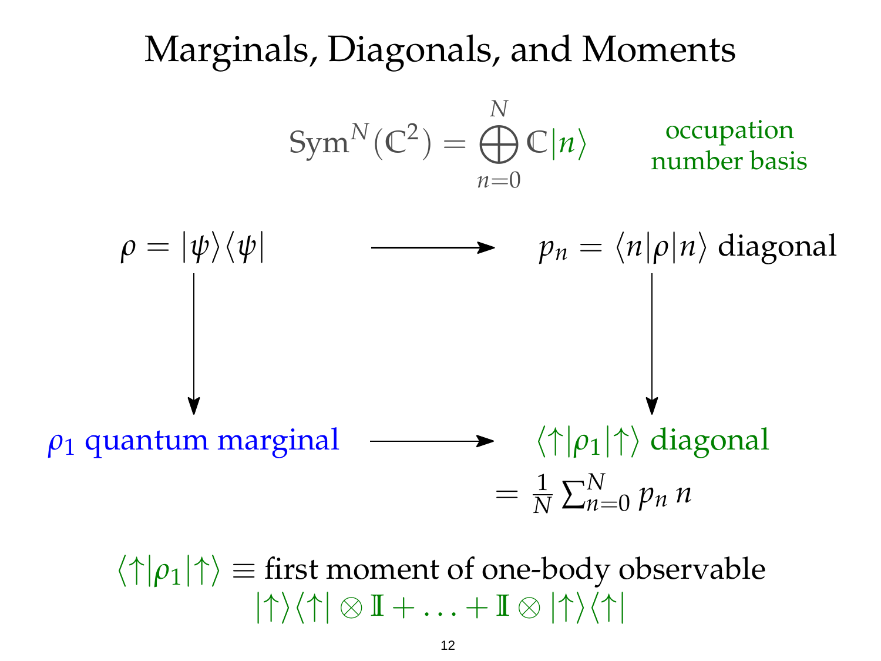

 $\langle \uparrow | \rho_1 | \uparrow \rangle \equiv$  first moment of one-body observable  $|\uparrow\rangle\langle\uparrow|\otimes\mathbb{I}+\ldots+\mathbb{I}\otimes|\uparrow\rangle\langle\uparrow|$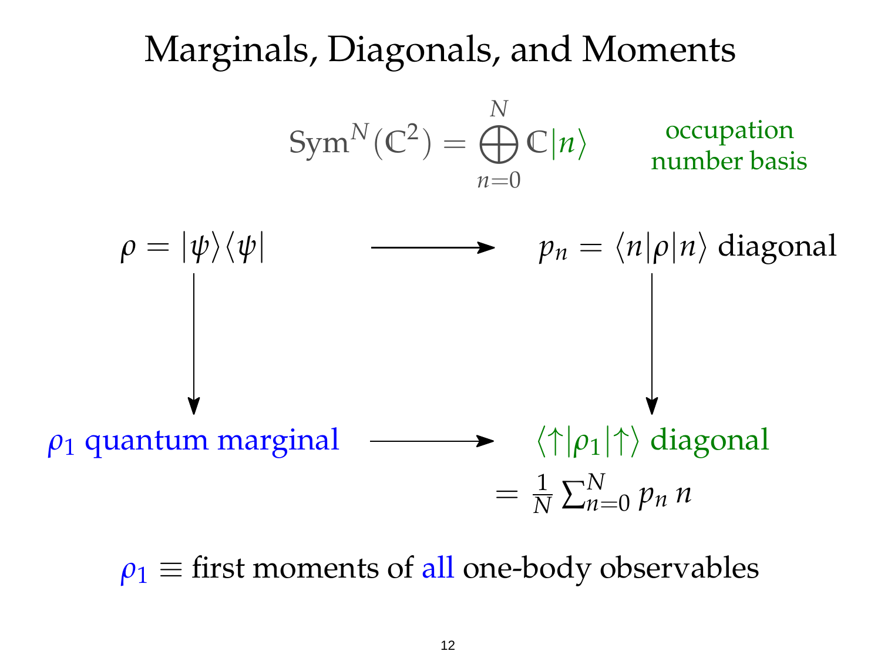

 $\rho_1$   $\equiv$  first moments of all one-body observables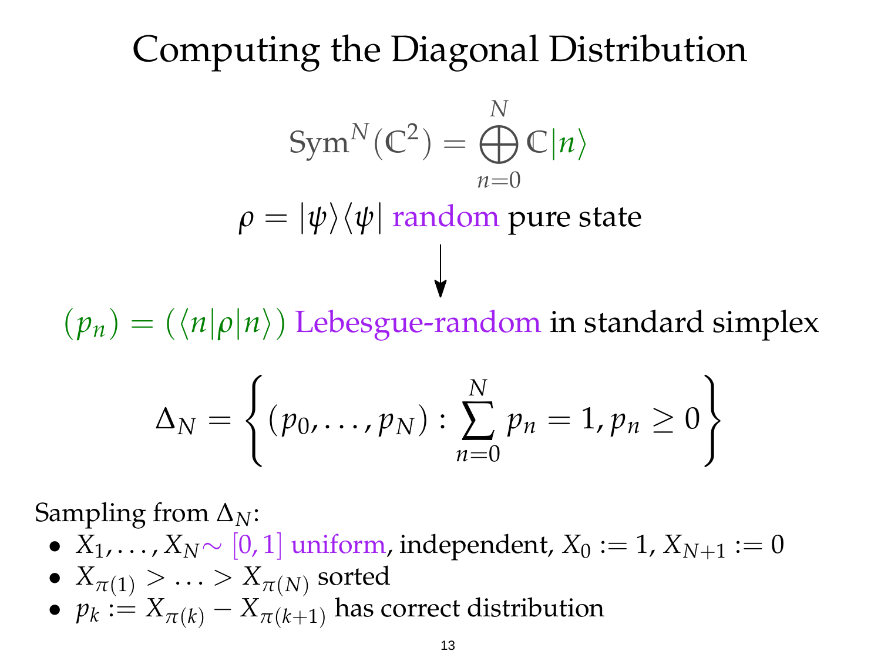#### Computing the Diagonal Distribution

$$
SymN(\mathbb{C}^{2}) = \bigoplus_{n=0}^{N} \mathbb{C}|n\rangle
$$

$$
\rho = |\psi\rangle\langle\psi| \text{ random pure state}
$$

 $(p_n) = (\langle n|\rho|n \rangle)$  Lebesgue-random in standard simplex

$$
\Delta_N = \left\{ (p_0, ..., p_N) : \sum_{n=0}^{N} p_n = 1, p_n \ge 0 \right\}
$$

Sampling from ∆*N*:

- $\bullet$  *X*<sub>1</sub>,..., *X*<sub>N</sub> ∼ [0, 1] uniform, independent, *X*<sub>0</sub> := 1, *X*<sub>N+1</sub> := 0
- $X_{\pi(1)} > ... > X_{\pi(N)}$  sorted
- $p_k := X_{\pi(k)} X_{\pi(k+1)}$  has correct distribution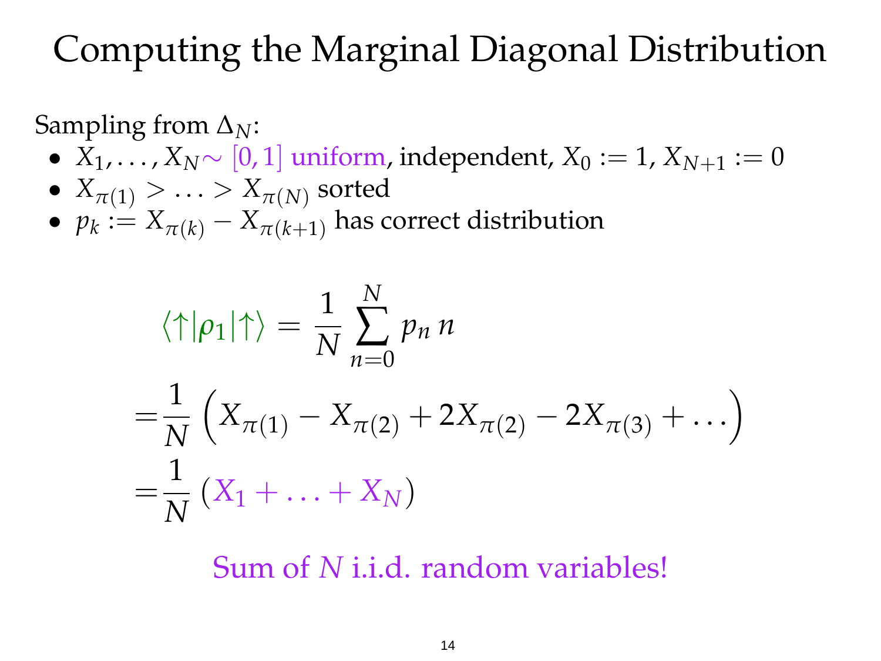#### Computing the Marginal Diagonal Distribution

Sampling from ∆*N*:

- $\bullet$  *X*<sub>1</sub>,..., *X*<sub>N</sub> ∼ [0, 1] uniform, independent, *X*<sub>0</sub> := 1, *X*<sub>N+1</sub> := 0
- $X_{\pi(1)} > ... > X_{\pi(N)}$  sorted
- $p_k := X_{\pi(k)} X_{\pi(k+1)}$  has correct distribution

$$
\langle \uparrow | \rho_1 | \uparrow \rangle = \frac{1}{N} \sum_{n=0}^{N} p_n n
$$
  
= 
$$
\frac{1}{N} \left( X_{\pi(1)} - X_{\pi(2)} + 2X_{\pi(2)} - 2X_{\pi(3)} + \ldots \right)
$$
  
= 
$$
\frac{1}{N} \left( X_1 + \ldots + X_N \right)
$$

Sum of *N* i.i.d. random variables!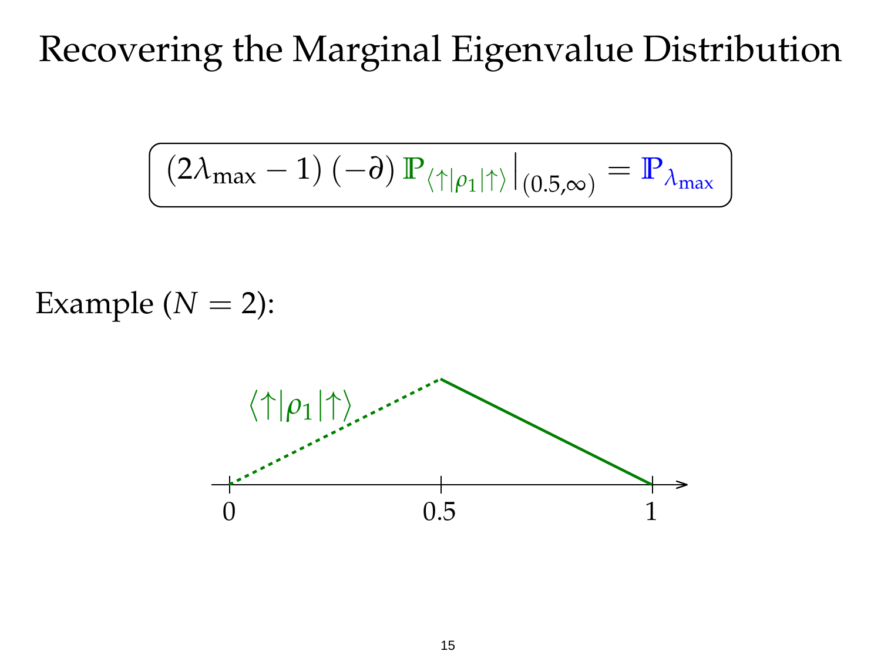#### Recovering the Marginal Eigenvalue Distribution

$$
\left(2\lambda_{\max} - 1\right)(-\partial)\mathbb{P}_{\langle\uparrow|\rho_1|\uparrow\rangle}\right|_{(0.5,\infty)} = \mathbb{P}_{\lambda_{\max}}
$$

Example  $(N = 2)$ :

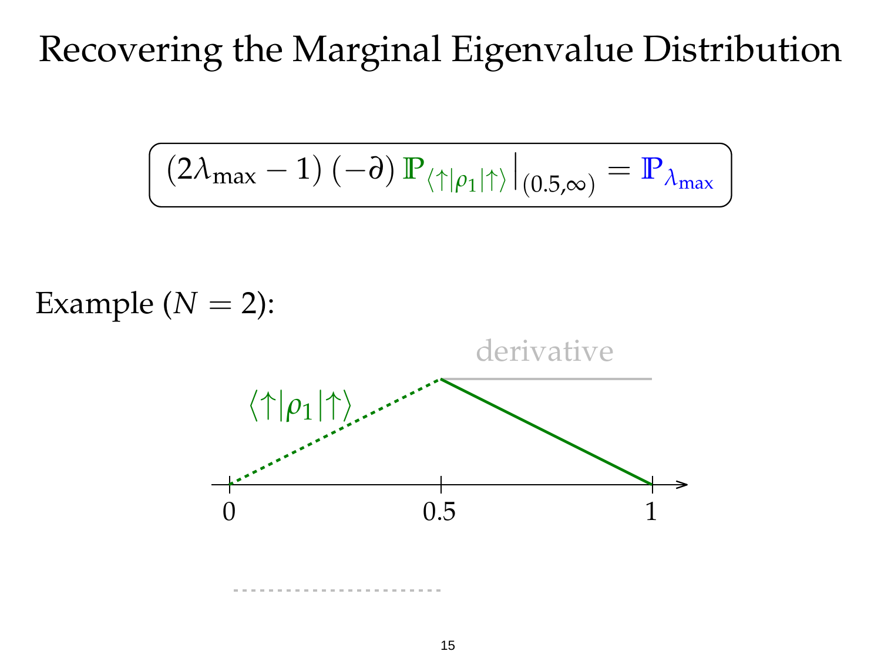#### Recovering the Marginal Eigenvalue Distribution

$$
\left[ \left( 2\lambda_{\max} - 1 \right) \left( -\partial \right) \mathbb{P}_{\langle \uparrow | \rho_1 | \uparrow \rangle} \right]_{(0.5,\infty)} = \mathbb{P}_{\lambda_{\max}}
$$

Example  $(N = 2)$ :  $0.5$  1  $\langle \uparrow | \rho_1 |$ derivative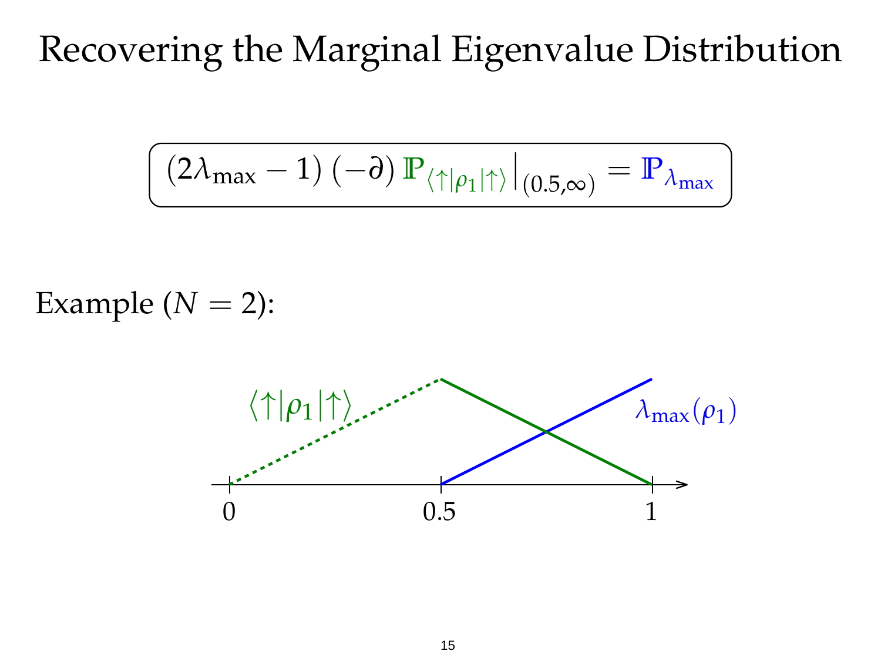#### Recovering the Marginal Eigenvalue Distribution

$$
\left(2\lambda_{\max} - 1\right)(-\partial)\mathbb{P}_{\langle\uparrow|\rho_1|\uparrow\rangle}\right|_{(0.5,\infty)} = \mathbb{P}_{\lambda_{\max}}
$$

Example  $(N = 2)$ :

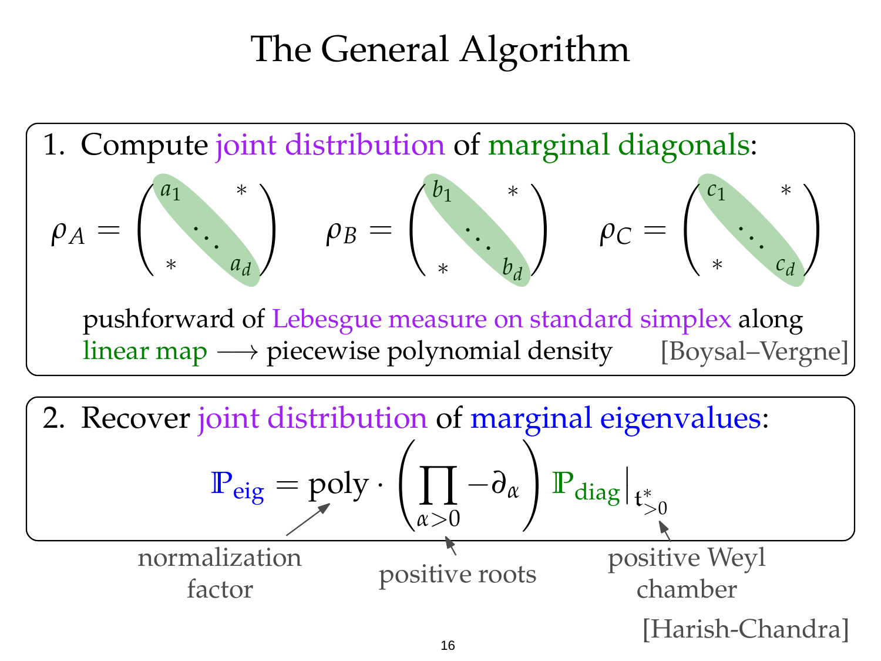## The General Algorithm



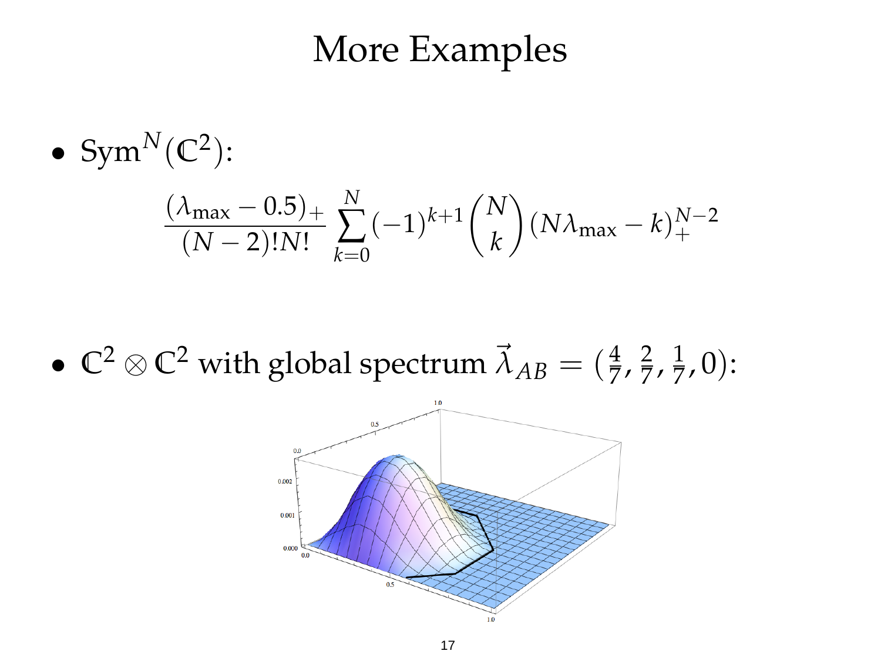#### More Examples

• 
$$
\text{Sym}^N(\mathbb{C}^2)
$$
:  
\n
$$
\frac{(\lambda_{\text{max}} - 0.5)_+}{(N - 2)! N!} \sum_{k=0}^N (-1)^{k+1} {N \choose k} (N \lambda_{\text{max}} - k)_+^{N-2}
$$

•  $\mathbb{C}^2 \otimes \mathbb{C}^2$  with global spectrum  $\vec{\lambda}_{AB} = (\frac{4}{7}, \frac{2}{7})$  $\frac{2}{7}$ ,  $\frac{1}{7}$  $\frac{1}{7}$ , 0):

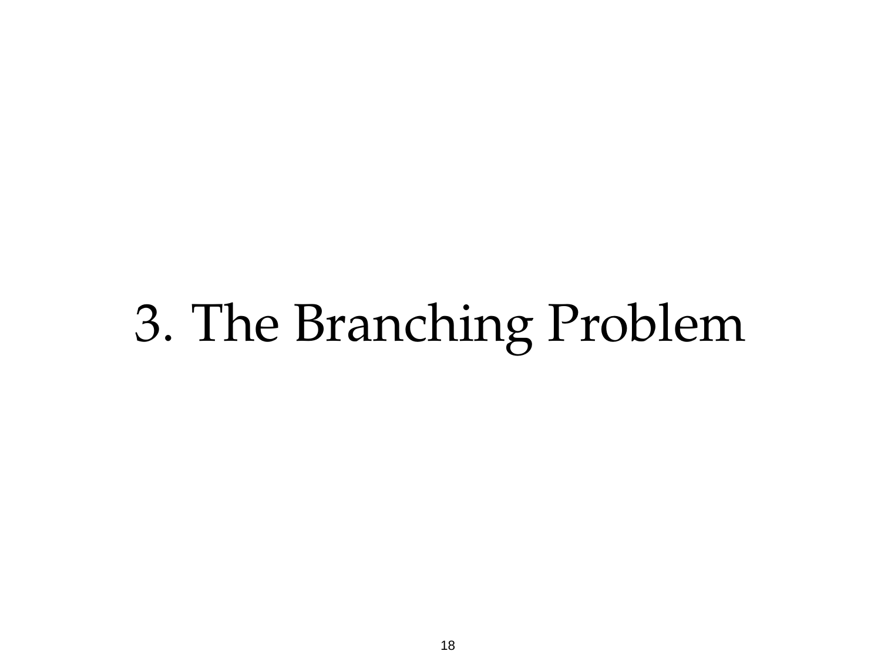# 3. The Branching Problem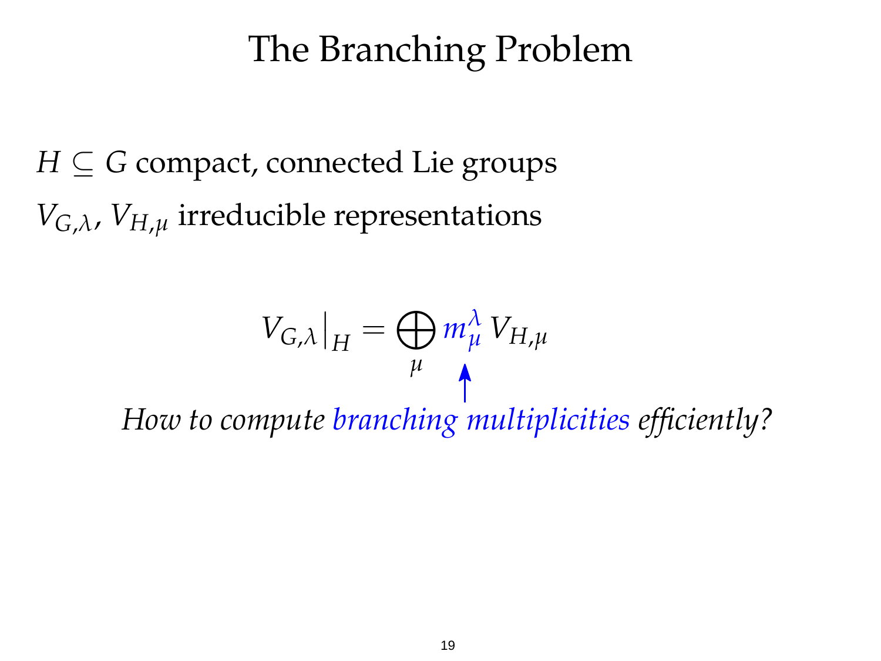#### The Branching Problem

 $H \subseteq G$  compact, connected Lie groups  $V_{G,\lambda}$ ,  $V_{H,\mu}$  irreducible representations

$$
V_{G,\lambda}|_H = \bigoplus_{\mu} m_{\mu}^{\lambda} V_{H,\mu}
$$

*How to compute branching multiplicities efficiently?*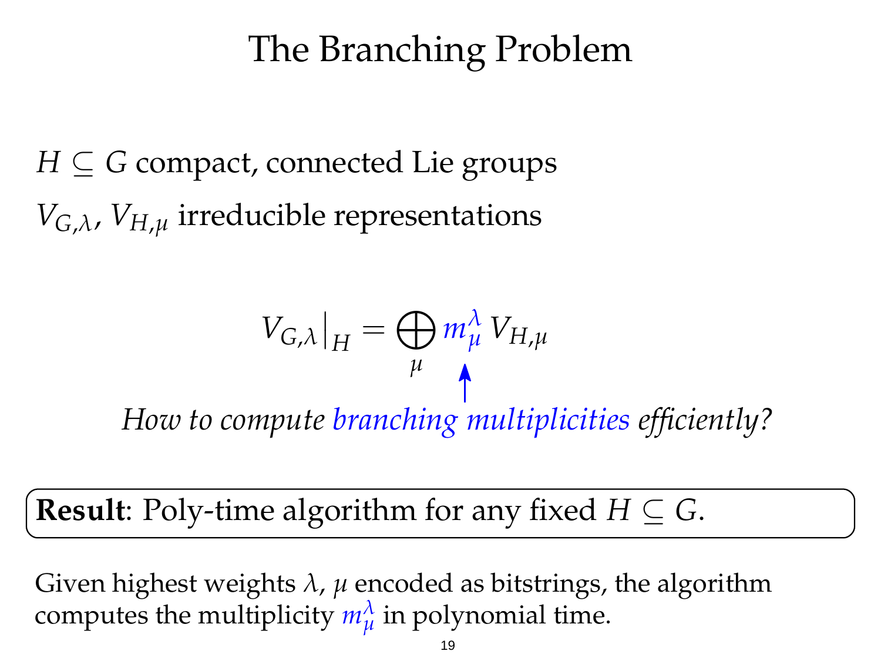#### The Branching Problem

 $H \subseteq G$  compact, connected Lie groups  $V_{G,\lambda}$ ,  $V_{H,\mu}$  irreducible representations

$$
V_{G,\lambda}|_H = \bigoplus_{\mu} m_{\mu}^{\lambda} V_{H,\mu}
$$

*How to compute branching multiplicities efficiently?*

**Result:** Poly-time algorithm for any fixed  $H \subseteq G$ .

Given highest weights *λ*, *µ* encoded as bitstrings, the algorithm computes the multiplicity  $m_{\mu}^{\lambda}$  in polynomial time.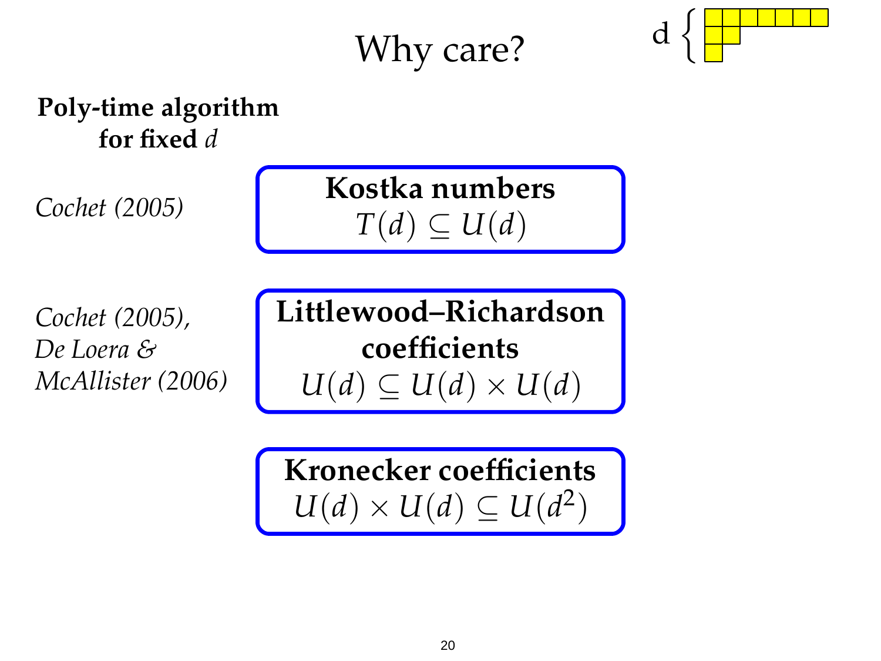#### Why care?



#### **Poly-time algorithm for fixed** *d*

*Cochet (2005)*

**Kostka numbers**  $T(d) \subseteq U(d)$ 

*Cochet (2005), De Loera & McAllister (2006)* **Littlewood–Richardson coefficients**  $U(d) \subseteq U(d) \times U(d)$ 

**Kronecker coefficients**  $U(d) \times U(d) \subseteq U(d^2)$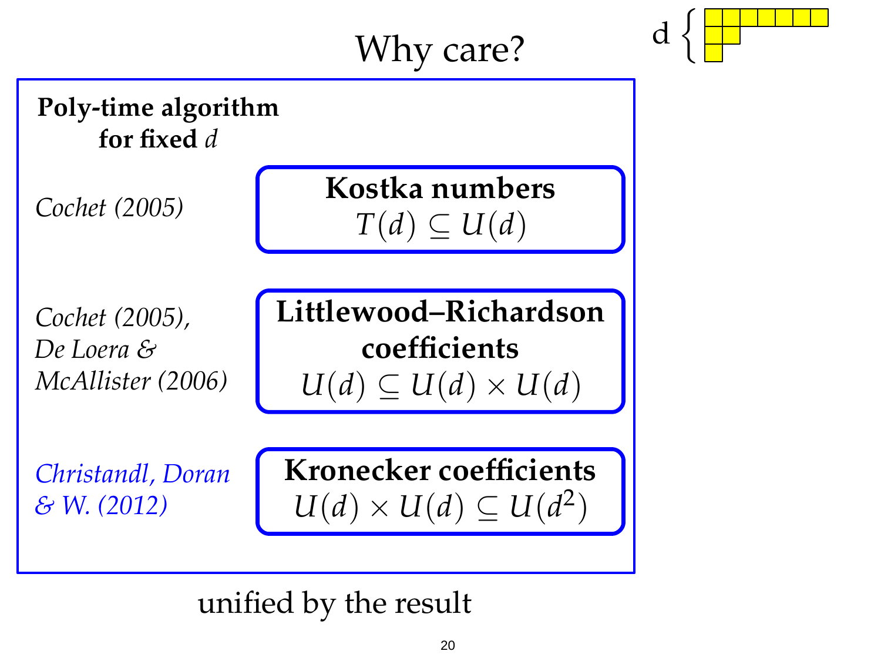





*Cochet (2005)*

**Kostka numbers**  $T(d) \subseteq U(d)$ 

*Cochet (2005), De Loera & McAllister (2006)* **Littlewood–Richardson coefficients**  $U(d) \subseteq U(d) \times U(d)$ 

*Christandl, Doran & W. (2012)*

**Kronecker coefficients**  $U(d) \times U(d) \subseteq U(d^2)$ 

unified by the result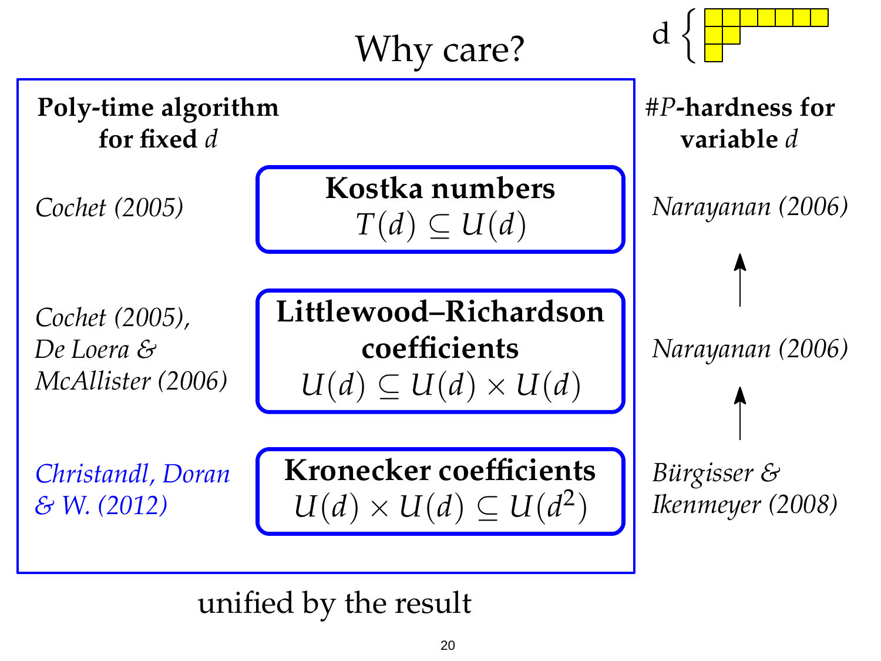

unified by the result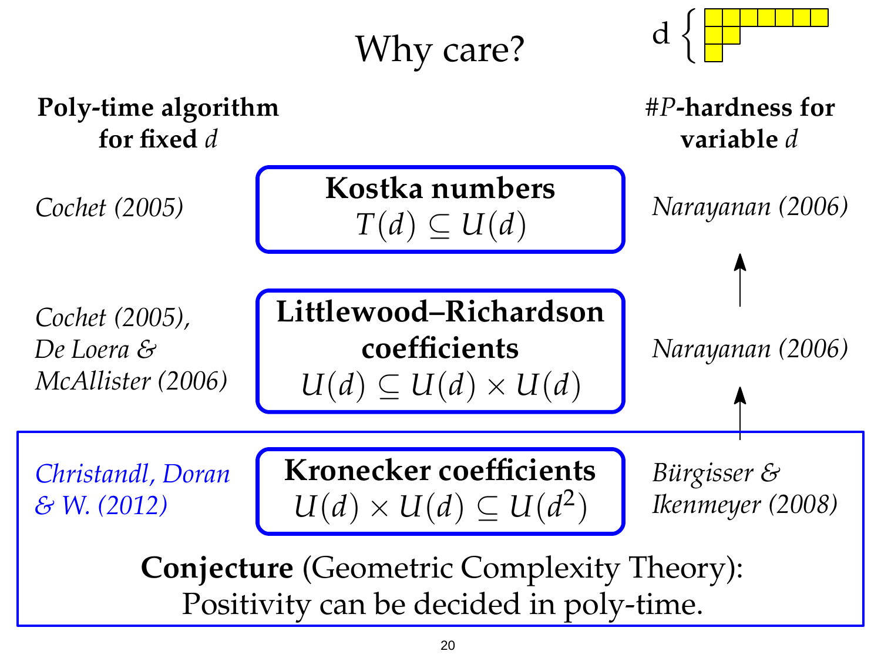Why care?



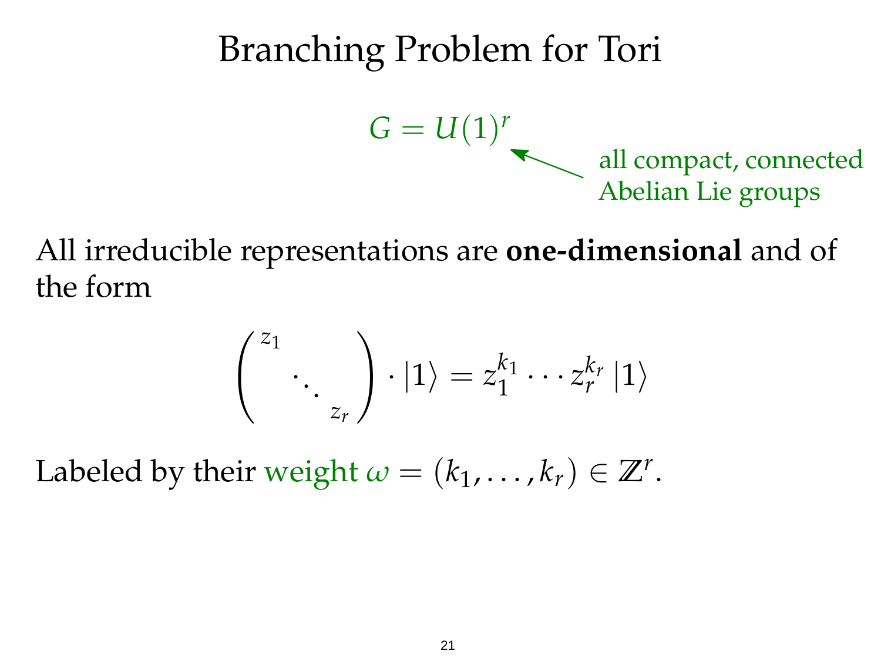#### Branching Problem for Tori

 $G = U(1)^{r}$ 

all compact, connected Abelian Lie groups

All irreducible representations are **one-dimensional** and of the form

$$
\binom{z_1}{\cdots}_{z_r}\cdot |1\rangle=z_1^{k_1}\cdots z_r^{k_r}\,|1\rangle
$$

Labeled by their weight  $\omega = (k_1, \ldots, k_r) \in \mathbb{Z}^r$ .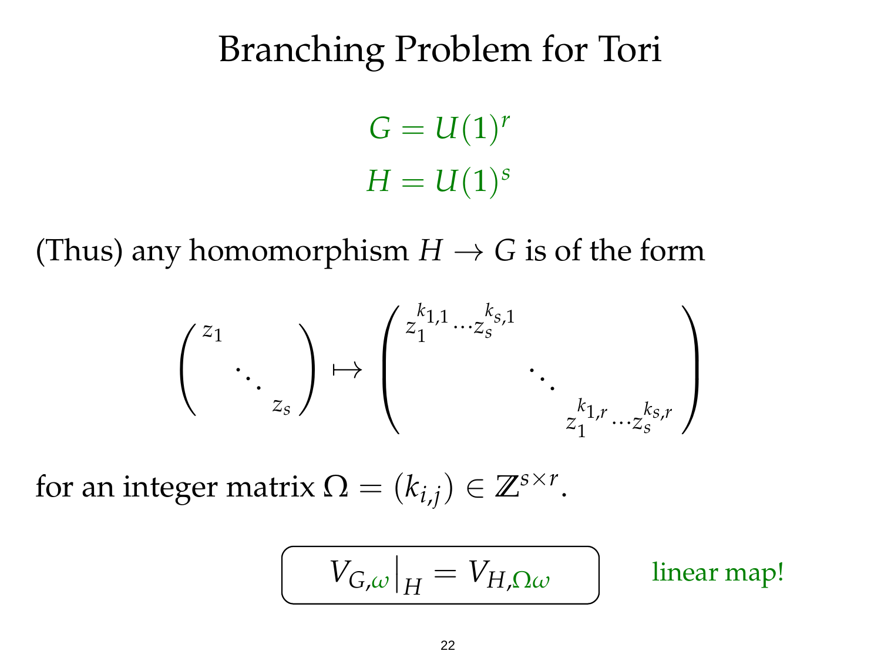# Branching Problem for Tori

 $G = U(1)^{r}$  $H = U(1)^s$ 

(Thus) any homomorphism  $H \to G$  is of the form

$$
\begin{pmatrix} z_1 & & \\ & \ddots & \\ & & z_s \end{pmatrix} \mapsto \begin{pmatrix} z_1^{k_{1,1}} \cdots z_s^{k_{s,1}} & & \\ & \ddots & \\ & & \ddots & \\ & & z_1^{k_{1,r}} \cdots z_s^{k_{s,r}} \end{pmatrix}
$$

for an integer matrix  $\Omega = (k_{i,j}) \in \mathbb{Z}^{s \times r}$ .

$$
V_{G,\omega}|_H = V_{H,\Omega\omega}
$$
 linear map!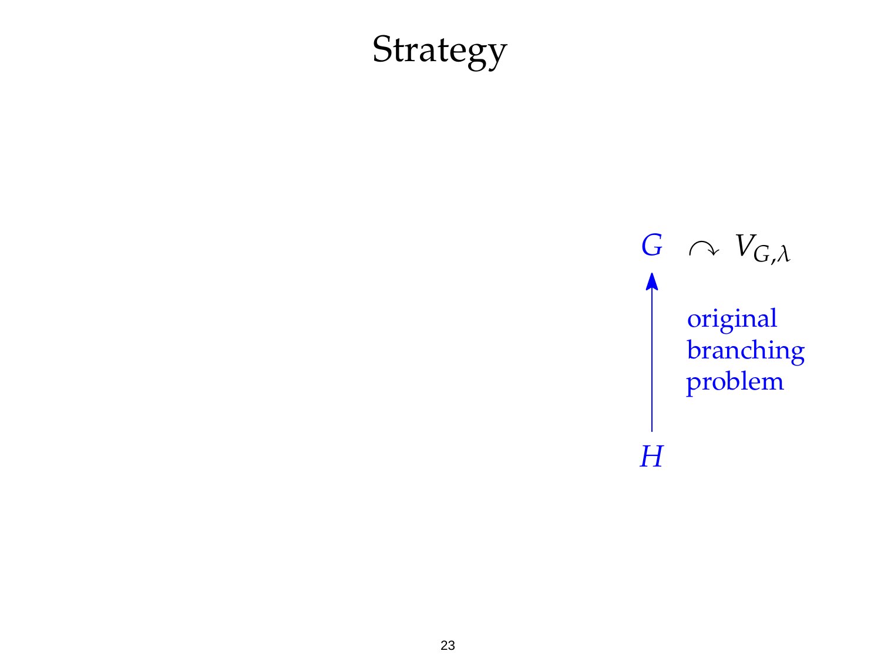$G \sim V_{G,\lambda}$ original branching problem

*H*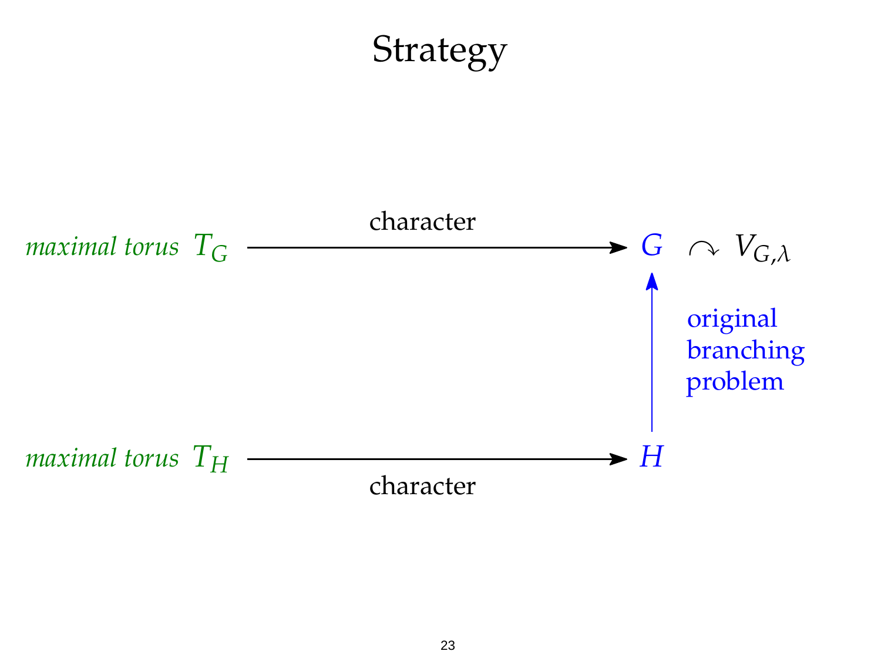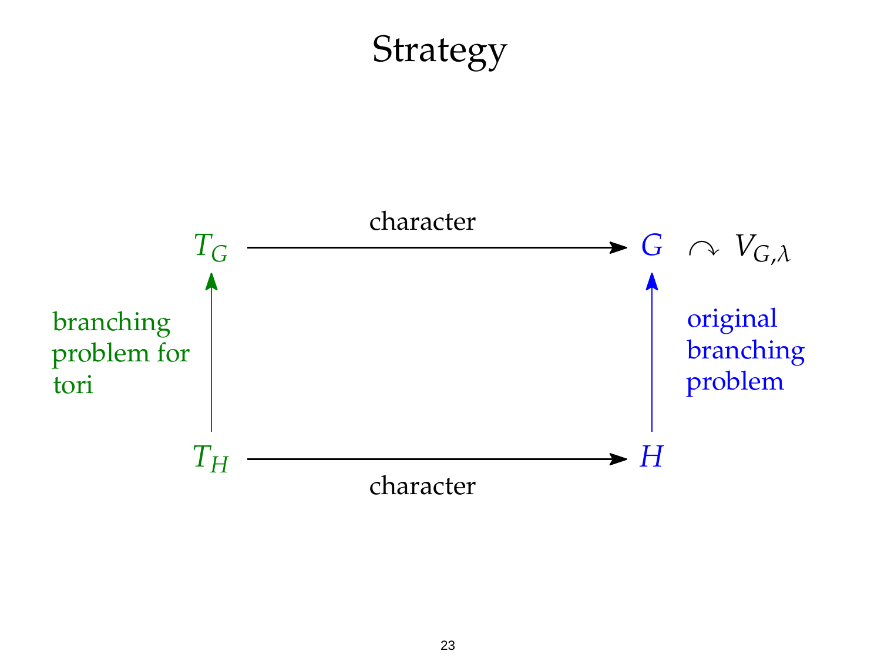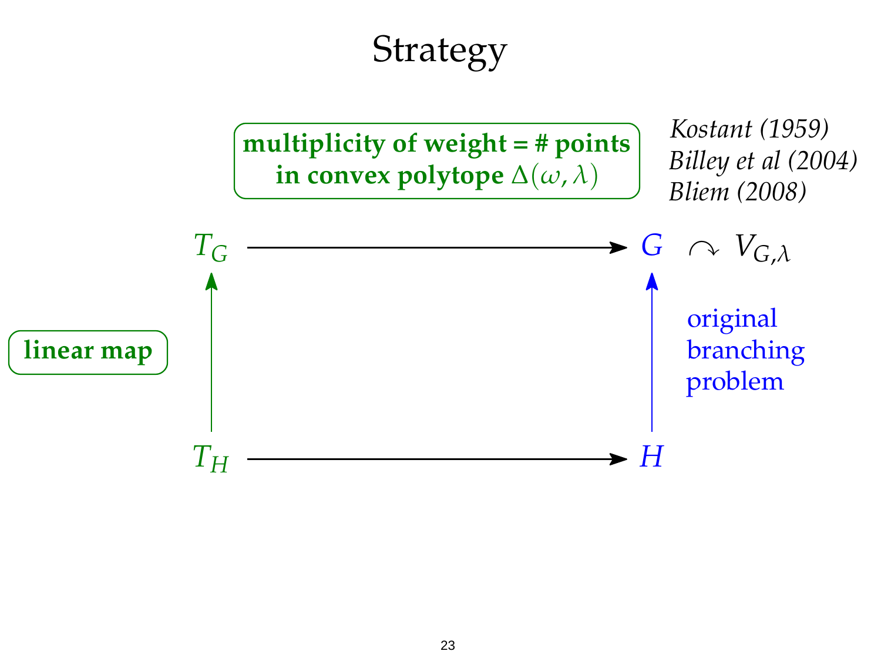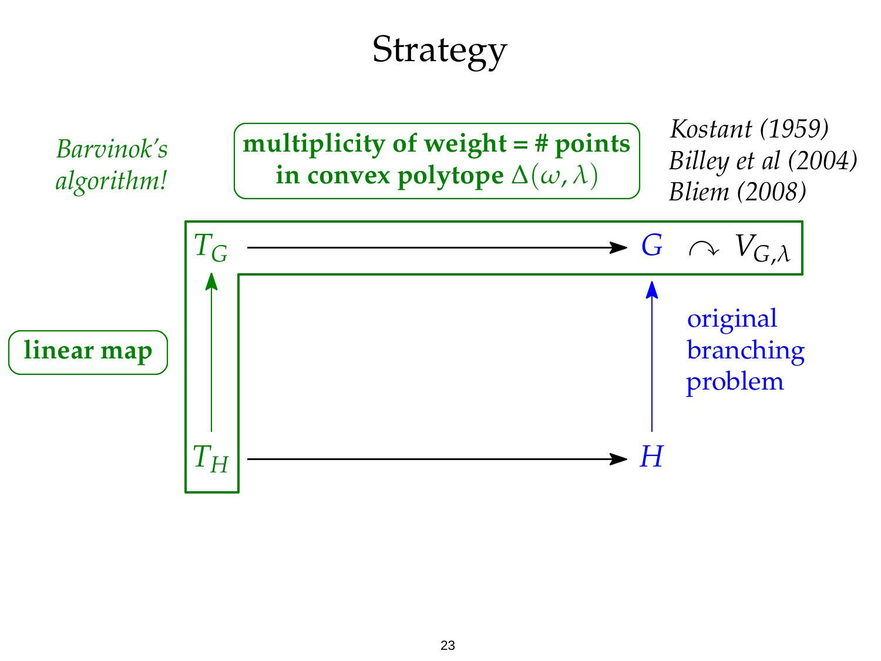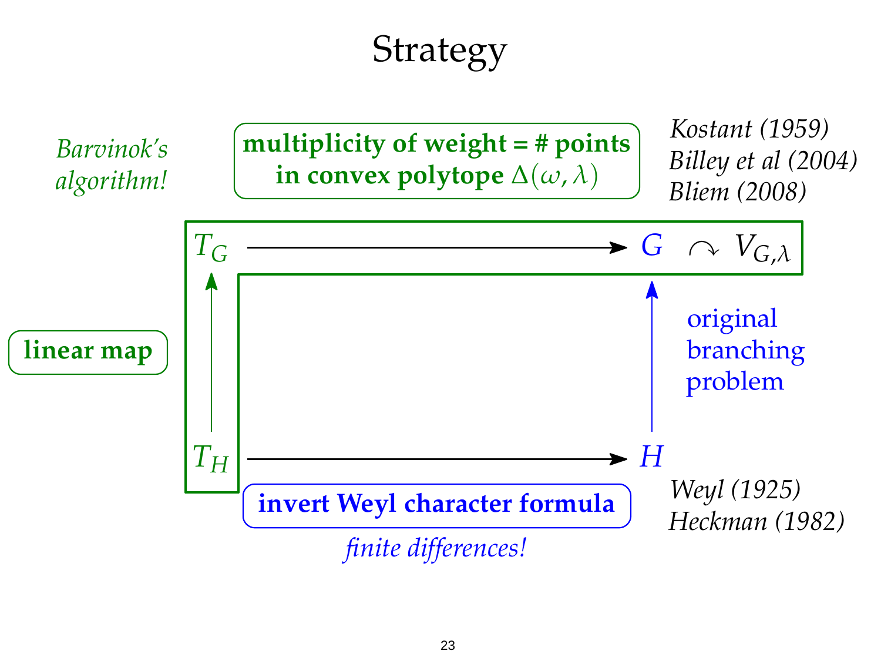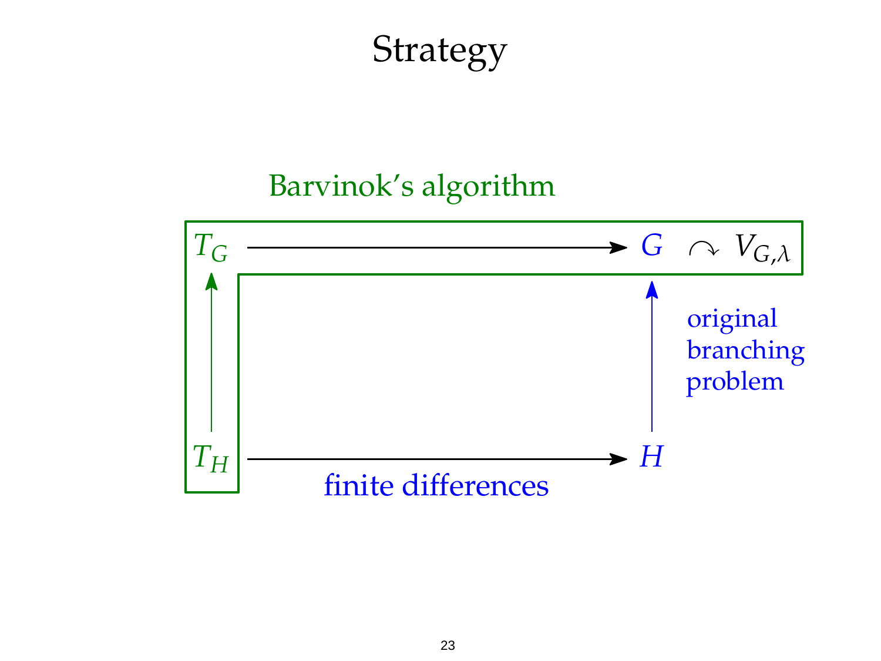#### Barvinok's algorithm

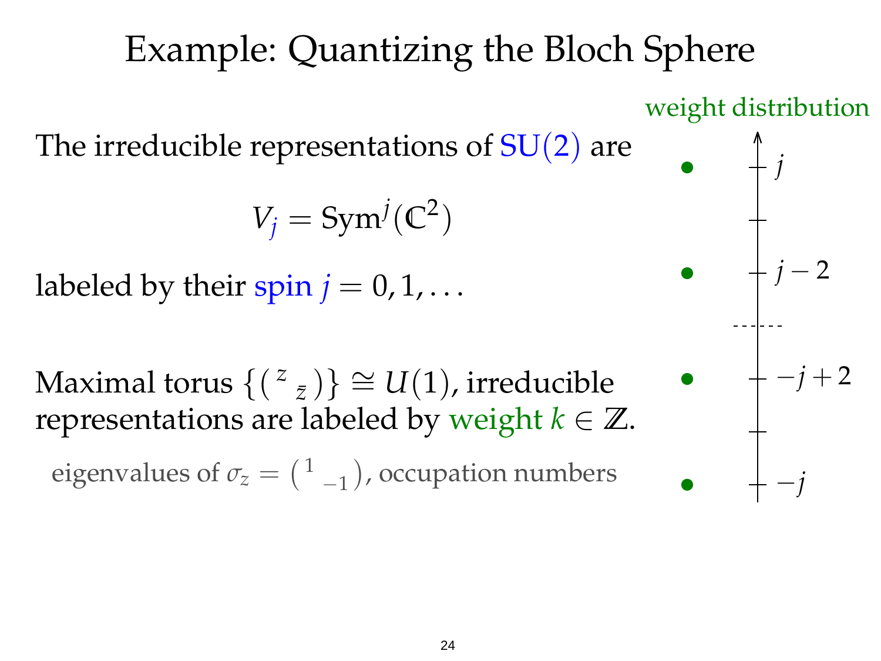The irreducible representations of  $SU(2)$  are

$$
V_j = \text{Sym}^j(\mathbb{C}^2)
$$

labeled by their spin  $j = 0, 1, \ldots$ 

Maximal torus {( *z z*¯ )} ∼  $\cong U(1)$ , irreducible representations are labeled by weight  $k \in \mathbb{Z}$ .

eigenvalues of  $\sigma_z = (1)$ −1 , occupation numbers

#### weight distribution

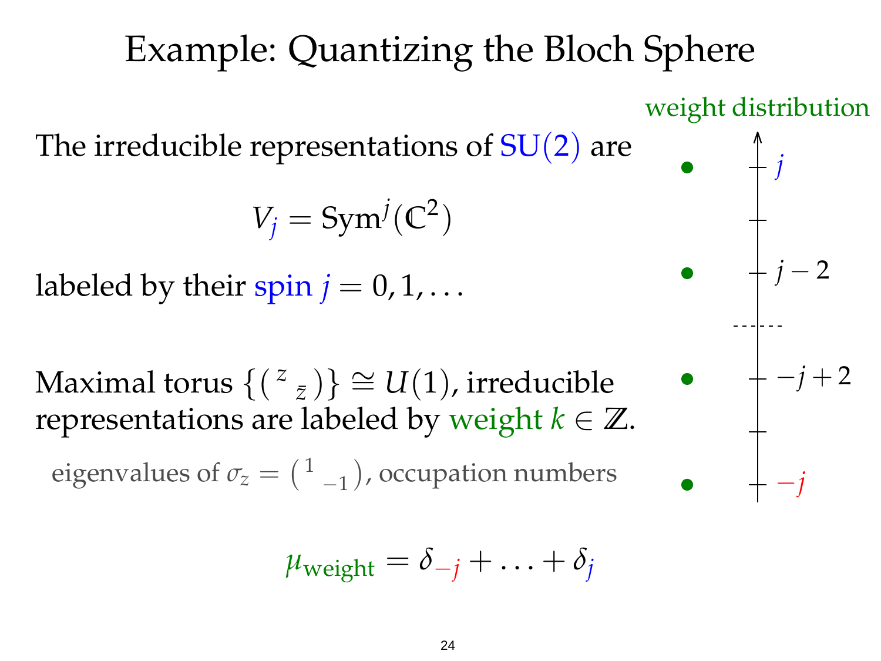*j* − 2

*j*

weight distribution

 $-j + 2$ 

−*j*

The irreducible representations of  $SU(2)$  are

$$
V_j = \text{Sym}^j(\mathbb{C}^2)
$$

labeled by their spin  $j = 0, 1, \ldots$ 

Maximal torus {( *z z*¯ )} ∼  $\cong U(1)$ , irreducible representations are labeled by weight  $k \in \mathbb{Z}$ .

eigenvalues of  $\sigma_z = (1)$ −1 , occupation numbers

$$
\mu_{\text{weight}} = \delta_{-j} + \ldots + \delta_j
$$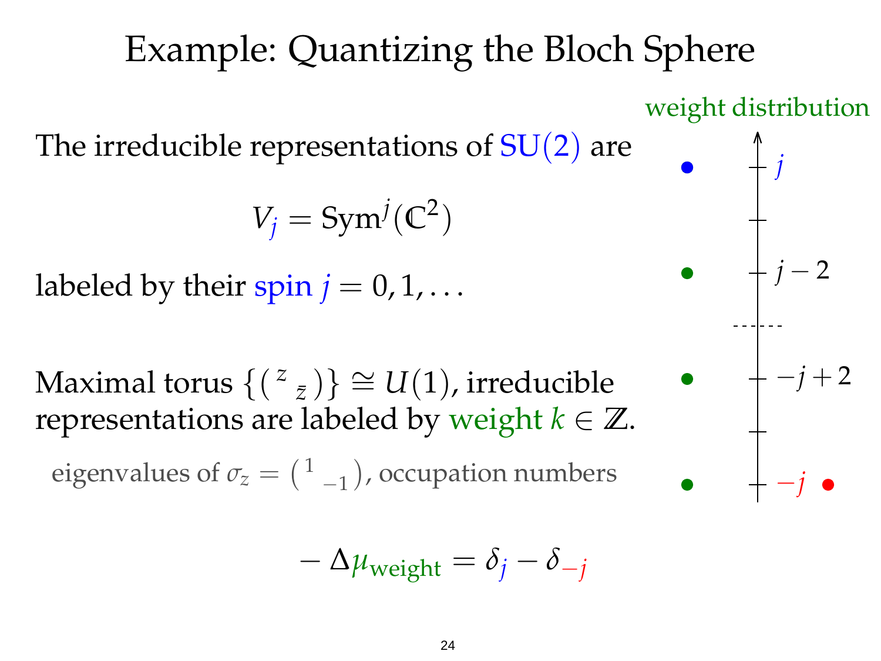*j* − 2

weight distribution

*j*

 $-j + 2$ 

−*j*

The irreducible representations of  $SU(2)$  are

$$
V_j = \text{Sym}^j(\mathbb{C}^2)
$$

labeled by their spin  $j = 0, 1, \ldots$ 

Maximal torus {( *z z*¯ )} ∼  $\cong U(1)$ , irreducible representations are labeled by weight  $k \in \mathbb{Z}$ .

eigenvalues of  $\sigma_z = (1)$ −1 , occupation numbers

$$
-\Delta\mu_{\text{weight}} = \delta_j - \delta_{-j}
$$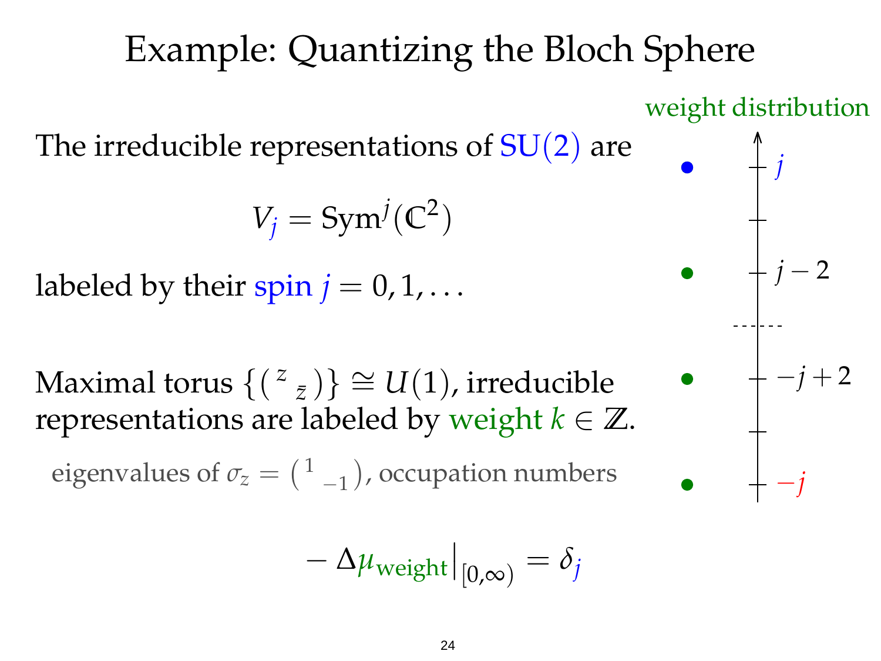The irreducible representations of  $SU(2)$  are

$$
V_j = \text{Sym}^j(\mathbb{C}^2)
$$

labeled by their spin  $j = 0, 1, \ldots$ 

Maximal torus {( *z z*¯ )} ∼  $\cong U(1)$ , irreducible representations are labeled by weight  $k \in \mathbb{Z}$ .

eigenvalues of  $\sigma_z = (1)$ −1 , occupation numbers

$$
-\Delta\mu_{\text{weight}}\big|_{[0,\infty)} = \delta_j
$$

#### weight distribution

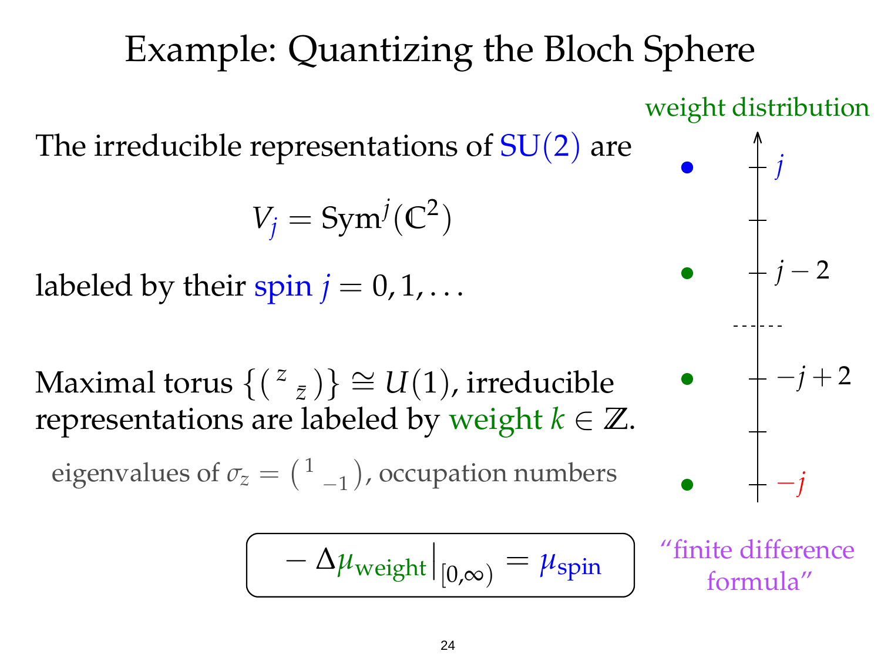The irreducible representations of  $SU(2)$  are

$$
V_j = \text{Sym}^j(\mathbb{C}^2)
$$

labeled by their spin  $j = 0, 1, \ldots$ 

Maximal torus {( *z z*¯ )} ∼  $\cong U(1)$ , irreducible representations are labeled by weight  $k \in \mathbb{Z}$ .

eigenvalues of  $\sigma_z = (1)$ −1 , occupation numbers

$$
-\left.\Delta \mu_{\text{weight}}\right|_{[0,\infty)}=\mu_{\text{spin}}
$$

weight distribution

*j*

*j* − 2

 $-j + 2$ 

−*j*

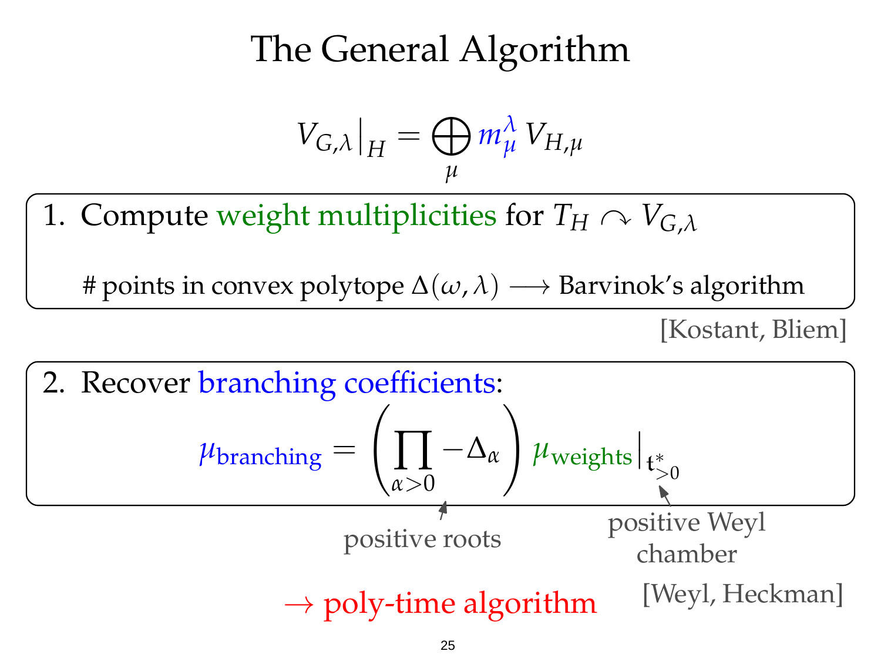## The General Algorithm

$$
V_{G,\lambda}\big|_H = \bigoplus_{\mu} m_{\mu}^{\lambda} V_{H,\mu}
$$

1. Compute weight multiplicities for  $T_H \curvearrowright V_{G,\lambda}$ 

# points in convex polytope  $\Delta(\omega, \lambda) \longrightarrow$  Barvinok's algorithm

[Kostant, Bliem]

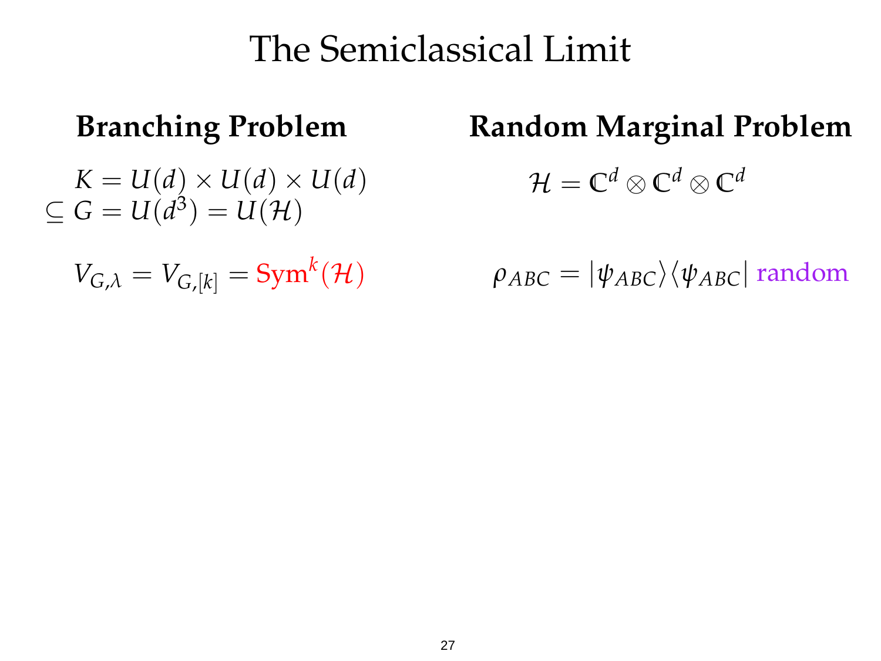$K = U(d) \times U(d) \times U(d)$  $\subseteq G = U(d^3) = U(\mathcal{H})$ 

 $V_{G,\lambda} = V_{G,[k]} = \text{Sym}^k(\mathcal{H})$ 

#### **Branching Problem Random Marginal Problem**

 $\mathcal{H} = \mathbb{C}^d \otimes \mathbb{C}^d \otimes \mathbb{C}^d$ 

 $\rho_{ABC} = |\psi_{ABC}\rangle\langle\psi_{ABC}|$  random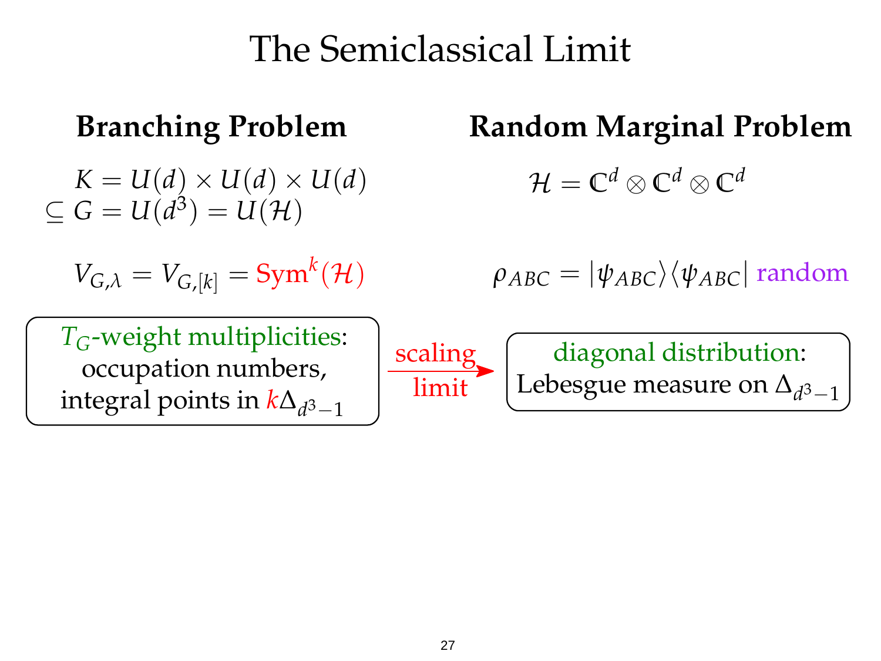$K = U(d) \times U(d) \times U(d)$  $\subseteq G = U(d^3) = U(\mathcal{H})$ 

 $V_{G,\lambda} = V_{G,[k]} = \text{Sym}^k(\mathcal{H})$ 

#### **Branching Problem Random Marginal Problem**

 $\mathcal{H} = \mathbb{C}^d \otimes \mathbb{C}^d \otimes \mathbb{C}^d$ 

 $\rho_{ABC} = |\psi_{ABC}\rangle\langle\psi_{ABC}|$  random

*TG*-weight multiplicities: occupation numbers,  $\operatorname{integral}$  points in  $k\Delta_{d^3-1}$ 



$$
\fbox{diagonal distribution:} \begin{array}{c}\text{distribution:} \\ \text{Lebesgue measure on } \Delta_{d^3-1}\end{array}
$$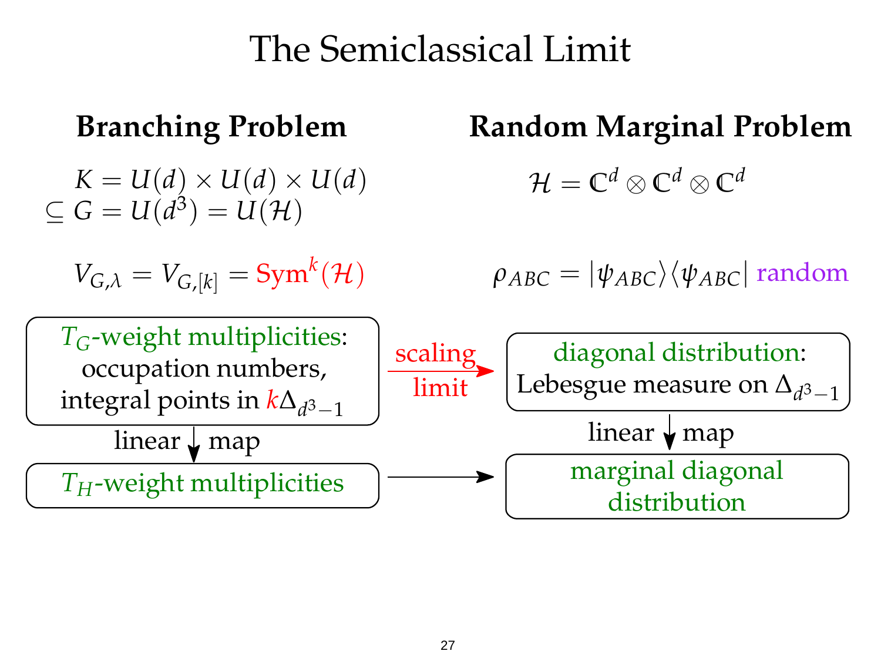#### **Branching Problem Random Marginal Problem**  $\mathcal{H} = \mathbb{C}^d \otimes \mathbb{C}^d \otimes \mathbb{C}^d$  $\rho_{ABC} = |\psi_{ABC}\rangle\langle\psi_{ABC}|$  random  $K = U(d) \times U(d) \times U(d)$  $\subseteq G = U(d^3) = U(\mathcal{H})$  $V_{G,\lambda} = V_{G,[k]} = \text{Sym}^k(\mathcal{H})$ scaling limit  $\sqrt{\frac{1}{2}}$  map linear  $\sqrt{\frac{1}{2}}$  map *TH*-weight multiplicities *TG*-weight multiplicities: occupation numbers,  $\operatorname{integral}$  points in  $k\Delta_{d^3-1}$ marginal diagonal distribution diagonal distribution: Lebesgue measure on  $\Delta_{d^3-1}$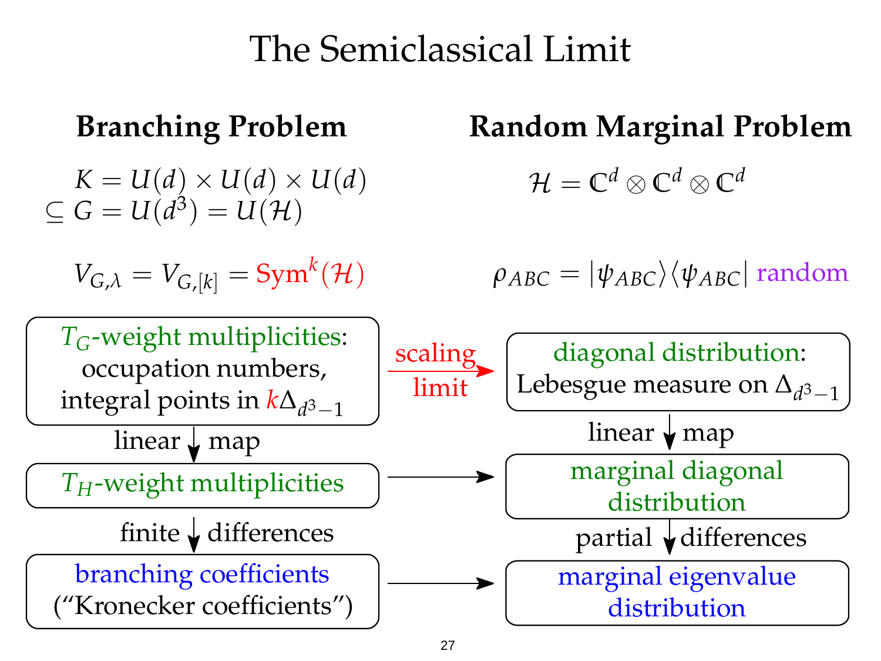$K = U(d) \times U(d) \times U(d)$  $\subseteq G = U(d^3) = U(\mathcal{H})$ 

 $V_{G,\lambda} = V_{G,[k]} = \text{Sym}^k(\mathcal{H})$ 

#### **Branching Problem Random Marginal Problem**

 $\mathcal{H} = \mathbb{C}^d \otimes \mathbb{C}^d \otimes \mathbb{C}^d$ 

 $\rho_{ABC} = |\psi_{ABC}\rangle\langle\psi_{ABC}|$  random